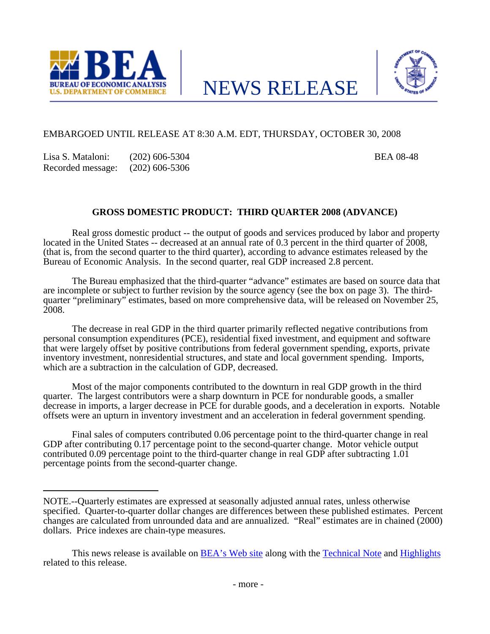



# EMBARGOED UNTIL RELEASE AT 8:30 A.M. EDT, THURSDAY, OCTOBER 30, 2008

Lisa S. Mataloni: (202) 606-5304 BEA 08-48 Recorded message: (202) 606-5306

# **GROSS DOMESTIC PRODUCT: THIRD QUARTER 2008 (ADVANCE)**

 Real gross domestic product -- the output of goods and services produced by labor and property located in the United States -- decreased at an annual rate of 0.3 percent in the third quarter of 2008, (that is, from the second quarter to the third quarter), according to advance estimates released by the Bureau of Economic Analysis. In the second quarter, real GDP increased 2.8 percent.

 The Bureau emphasized that the third-quarter "advance" estimates are based on source data that are incomplete or subject to further revision by the source agency (see the box on page 3). The thirdquarter "preliminary" estimates, based on more comprehensive data, will be released on November 25, 2008.

 The decrease in real GDP in the third quarter primarily reflected negative contributions from personal consumption expenditures (PCE), residential fixed investment, and equipment and software that were largely offset by positive contributions from federal government spending, exports, private inventory investment, nonresidential structures, and state and local government spending. Imports, which are a subtraction in the calculation of GDP, decreased.

 Most of the major components contributed to the downturn in real GDP growth in the third quarter. The largest contributors were a sharp downturn in PCE for nondurable goods, a smaller decrease in imports, a larger decrease in PCE for durable goods, and a deceleration in exports. Notable offsets were an upturn in inventory investment and an acceleration in federal government spending.

 Final sales of computers contributed 0.06 percentage point to the third-quarter change in real GDP after contributing 0.17 percentage point to the second-quarter change. Motor vehicle output contributed 0.09 percentage point to the third-quarter change in real GDP after subtracting 1.01 percentage points from the second-quarter change.

NOTE.--Quarterly estimates are expressed at seasonally adjusted annual rates, unless otherwise specified. Quarter-to-quarter dollar changes are differences between these published estimates. Percent changes are calculated from unrounded data and are annualized. "Real" estimates are in chained (2000) dollars. Price indexes are chain-type measures.

This news release is available on [BEA's Web site](http://www.bea.gov/) along with the [Technical Note](http://www.bea.gov/newsreleases/national/gdp/2008/tech308a.htm) and [Highlights](http://www.bea.gov/newsreleases/national/gdp/2008/pdf/gdp308a_fax.pdf) related to this release.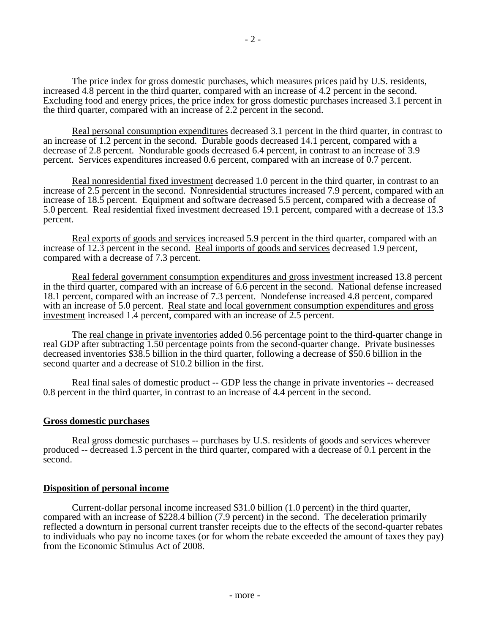The price index for gross domestic purchases, which measures prices paid by U.S. residents, increased 4.8 percent in the third quarter, compared with an increase of 4.2 percent in the second. Excluding food and energy prices, the price index for gross domestic purchases increased 3.1 percent in the third quarter, compared with an increase of 2.2 percent in the second.

Real personal consumption expenditures decreased 3.1 percent in the third quarter, in contrast to an increase of 1.2 percent in the second. Durable goods decreased 14.1 percent, compared with a decrease of 2.8 percent. Nondurable goods decreased 6.4 percent, in contrast to an increase of 3.9 percent. Services expenditures increased 0.6 percent, compared with an increase of 0.7 percent.

Real nonresidential fixed investment decreased 1.0 percent in the third quarter, in contrast to an increase of 2.5 percent in the second. Nonresidential structures increased 7.9 percent, compared with an increase of 18.5 percent. Equipment and software decreased 5.5 percent, compared with a decrease of 5.0 percent. Real residential fixed investment decreased 19.1 percent, compared with a decrease of 13.3 percent.

Real exports of goods and services increased 5.9 percent in the third quarter, compared with an increase of 12.3 percent in the second. Real imports of goods and services decreased 1.9 percent, compared with a decrease of 7.3 percent.

Real federal government consumption expenditures and gross investment increased 13.8 percent in the third quarter, compared with an increase of 6.6 percent in the second. National defense increased 18.1 percent, compared with an increase of 7.3 percent. Nondefense increased 4.8 percent, compared with an increase of 5.0 percent. Real state and local government consumption expenditures and gross investment increased 1.4 percent, compared with an increase of 2.5 percent.

 The real change in private inventories added 0.56 percentage point to the third-quarter change in real GDP after subtracting 1.50 percentage points from the second-quarter change. Private businesses decreased inventories \$38.5 billion in the third quarter, following a decrease of \$50.6 billion in the second quarter and a decrease of \$10.2 billion in the first.

Real final sales of domestic product -- GDP less the change in private inventories -- decreased 0.8 percent in the third quarter, in contrast to an increase of 4.4 percent in the second.

### **Gross domestic purchases**

 Real gross domestic purchases -- purchases by U.S. residents of goods and services wherever produced -- decreased 1.3 percent in the third quarter, compared with a decrease of 0.1 percent in the second.

### **Disposition of personal income**

Current-dollar personal income increased \$31.0 billion (1.0 percent) in the third quarter, compared with an increase of \$228.4 billion (7.9 percent) in the second. The deceleration primarily reflected a downturn in personal current transfer receipts due to the effects of the second-quarter rebates to individuals who pay no income taxes (or for whom the rebate exceeded the amount of taxes they pay) from the Economic Stimulus Act of 2008.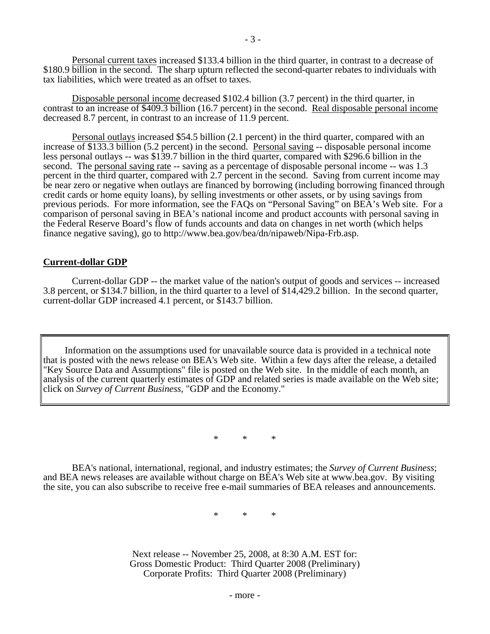Personal current taxes increased \$133.4 billion in the third quarter, in contrast to a decrease of \$180.9 billion in the second. The sharp upturn reflected the second-quarter rebates to individuals with tax liabilities, which were treated as an offset to taxes.

Disposable personal income decreased \$102.4 billion (3.7 percent) in the third quarter, in contrast to an increase of \$409.3 billion (16.7 percent) in the second. Real disposable personal income decreased 8.7 percent, in contrast to an increase of 11.9 percent.

 Personal outlays increased \$54.5 billion (2.1 percent) in the third quarter, compared with an increase of \$133.3 billion (5.2 percent) in the second. Personal saving -- disposable personal income less personal outlays -- was \$139.7 billion in the third quarter, compared with \$296.6 billion in the second. The personal saving rate -- saving as a percentage of disposable personal income -- was 1.3 percent in the third quarter, compared with 2.7 percent in the second. Saving from current income may be near zero or negative when outlays are financed by borrowing (including borrowing financed through credit cards or home equity loans), by selling investments or other assets, or by using savings from previous periods. For more information, see the FAQs on "Personal Saving" on BEA's Web site. For a comparison of personal saving in BEA's national income and product accounts with personal saving in the Federal Reserve Board's flow of funds accounts and data on changes in net worth (which helps finance negative saving), go to http://www.bea.gov/bea/dn/nipaweb/Nipa-Frb.asp.

### **Current-dollar GDP**

 Current-dollar GDP -- the market value of the nation's output of goods and services -- increased 3.8 percent, or \$134.7 billion, in the third quarter to a level of \$14,429.2 billion. In the second quarter, current-dollar GDP increased 4.1 percent, or \$143.7 billion.

Information on the assumptions used for unavailable source data is provided in a technical note that is posted with the news release on BEA's Web site. Within a few days after the release, a detailed "Key Source Data and Assumptions" file is posted on the Web site. In the middle of each month, an analysis of the current quarterly estimates of GDP and related series is made available on the Web site; click on *Survey of Current Business*, "GDP and the Economy."

\* \* \*

 BEA's national, international, regional, and industry estimates; the *Survey of Current Business*; and BEA news releases are available without charge on BEA's Web site at www.bea.gov. By visiting the site, you can also subscribe to receive free e-mail summaries of BEA releases and announcements.

\* \* \*

Next release -- November 25, 2008, at 8:30 A.M. EST for: Gross Domestic Product: Third Quarter 2008 (Preliminary) Corporate Profits: Third Quarter 2008 (Preliminary)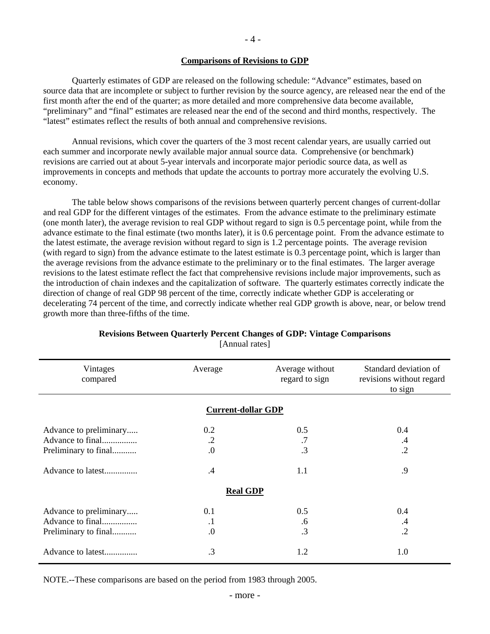### **Comparisons of Revisions to GDP**

 Quarterly estimates of GDP are released on the following schedule: "Advance" estimates, based on source data that are incomplete or subject to further revision by the source agency, are released near the end of the first month after the end of the quarter; as more detailed and more comprehensive data become available, "preliminary" and "final" estimates are released near the end of the second and third months, respectively. The "latest" estimates reflect the results of both annual and comprehensive revisions.

 Annual revisions, which cover the quarters of the 3 most recent calendar years, are usually carried out each summer and incorporate newly available major annual source data. Comprehensive (or benchmark) revisions are carried out at about 5-year intervals and incorporate major periodic source data, as well as improvements in concepts and methods that update the accounts to portray more accurately the evolving U.S. economy.

 The table below shows comparisons of the revisions between quarterly percent changes of current-dollar and real GDP for the different vintages of the estimates. From the advance estimate to the preliminary estimate (one month later), the average revision to real GDP without regard to sign is 0.5 percentage point, while from the advance estimate to the final estimate (two months later), it is 0.6 percentage point. From the advance estimate to the latest estimate, the average revision without regard to sign is 1.2 percentage points. The average revision (with regard to sign) from the advance estimate to the latest estimate is 0.3 percentage point, which is larger than the average revisions from the advance estimate to the preliminary or to the final estimates. The larger average revisions to the latest estimate reflect the fact that comprehensive revisions include major improvements, such as the introduction of chain indexes and the capitalization of software. The quarterly estimates correctly indicate the direction of change of real GDP 98 percent of the time, correctly indicate whether GDP is accelerating or decelerating 74 percent of the time, and correctly indicate whether real GDP growth is above, near, or below trend growth more than three-fifths of the time.

| Vintages<br>compared                                                                    | Average                            | Average without<br>regard to sign | Standard deviation of<br>revisions without regard<br>to sign |
|-----------------------------------------------------------------------------------------|------------------------------------|-----------------------------------|--------------------------------------------------------------|
|                                                                                         | <b>Current-dollar GDP</b>          |                                   |                                                              |
| Advance to preliminary<br>Advance to final<br>Preliminary to final<br>Advance to latest | 0.2<br>$\cdot$ .2<br>0.<br>$\cdot$ | 0.5<br>.7<br>$\cdot$ 3<br>1.1     | 0.4<br>.4<br>$\cdot$<br>.9                                   |
|                                                                                         | <b>Real GDP</b>                    |                                   |                                                              |
| Advance to preliminary<br>Advance to final<br>Preliminary to final                      | 0.1<br>$\cdot$<br>$\cdot$          | 0.5<br>.6<br>.3                   | 0.4<br>$\cdot$ 4<br>$\cdot$                                  |
| Advance to latest                                                                       | .3                                 | 1.2                               | 1.0                                                          |

### **Revisions Between Quarterly Percent Changes of GDP: Vintage Comparisons**  [Annual rates]

NOTE.--These comparisons are based on the period from 1983 through 2005.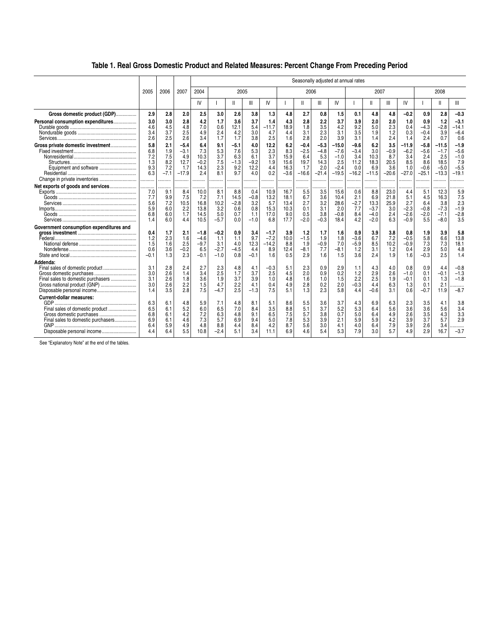## **Table 1. Real Gross Domestic Product and Related Measures: Percent Change From Preceding Period**

|                                                                                                                                                                    |                                        |                                             | Seasonally adjusted at annual rates                    |                                                  |                                                 |                                                  |                                                   |                                             |                                              |                                                        |                                                       |                                                              |                                                        |                                                  |                                                    |                                                      |                                                         |                                                       |                                                        |
|--------------------------------------------------------------------------------------------------------------------------------------------------------------------|----------------------------------------|---------------------------------------------|--------------------------------------------------------|--------------------------------------------------|-------------------------------------------------|--------------------------------------------------|---------------------------------------------------|---------------------------------------------|----------------------------------------------|--------------------------------------------------------|-------------------------------------------------------|--------------------------------------------------------------|--------------------------------------------------------|--------------------------------------------------|----------------------------------------------------|------------------------------------------------------|---------------------------------------------------------|-------------------------------------------------------|--------------------------------------------------------|
|                                                                                                                                                                    | 2005                                   | 2006                                        | 2007                                                   | 2004                                             |                                                 | 2005                                             |                                                   |                                             |                                              | 2006                                                   |                                                       |                                                              |                                                        | 2007                                             |                                                    |                                                      |                                                         | 2008                                                  |                                                        |
|                                                                                                                                                                    |                                        |                                             |                                                        | IV                                               |                                                 | $\mathbf{I}$                                     | Ш                                                 | IV                                          |                                              | Ш                                                      | Ш                                                     | IV                                                           |                                                        | Ш                                                | Ш                                                  | IV                                                   |                                                         | $\mathbf{I}$                                          | Ш                                                      |
| Gross domestic product (GDP)                                                                                                                                       | 2.9                                    | 2.8                                         | 2.0                                                    | 2.5                                              | 3.0                                             | 2.6                                              | 3.8                                               | 1.3                                         | 4.8                                          | 2.7                                                    | 0.8                                                   | 1.5                                                          | 0.1                                                    | 4.8                                              | 4.8                                                | $-0.2$                                               | 0.9                                                     | 2.8                                                   | $-0.3$                                                 |
| Personal consumption expenditures                                                                                                                                  | 3.0<br>4.6<br>3.4<br>2.6               | 3.0<br>4.5<br>3.7<br>2.5                    | 2.8<br>4.8<br>2.5<br>2.6                               | 4.2<br>7.0<br>4.9<br>3.4                         | 1.7<br>0.6<br>2.4<br>1.7                        | 3.6<br>12.1<br>4.2<br>1.7                        | 3.7<br>5.4<br>3.0<br>3.8                          | 1.4<br>$-11.7$<br>4.7<br>2.5                | 4.3<br>18.9<br>4.4<br>1.6                    | 2.8<br>1.8<br>3.1<br>2.8                               | 2.2<br>3.5<br>2.3<br>2.0                              | 3.7<br>4.2<br>3.1<br>3.9                                     | 3.9<br>9.2<br>3.5<br>3.1                               | 2.0<br>5.0<br>1.9<br>1.4                         | 2.0<br>2.3<br>1.2<br>2.4                           | 1.0<br>0.4<br>0.3<br>1.4                             | 0.9<br>$-4.3$<br>$-0.4$<br>2.4                          | 1.2<br>$-2.8$<br>3.9<br>0.7                           | $-3.1$<br>$-14.1$<br>$-6.4$<br>0.6                     |
| Gross private domestic investment                                                                                                                                  | 5.8<br>6.8<br>7.2<br>1.3<br>9.3<br>6.3 | 2.1<br>1.9<br>7.5<br>8.2<br>7.2<br>$-7.1$   | $-5.4$<br>$-3.1$<br>4.9<br>12.7<br>1.7<br>$-17.9$<br>. | 6.4<br>7.3<br>10.3<br>$-0.2$<br>14.3<br>2.4<br>. | 9.1<br>5.3<br>3.7<br>7.5<br>2.3<br>8.1<br>.     | $-5.1$<br>7.6<br>6.3<br>$-1.3$<br>9.2<br>9.7<br> | 4.0<br>5.3<br>6.1<br>$-9.2$<br>12.2<br>4.0<br>.   | 12.2<br>2.3<br>3.7<br>1.9<br>4.4<br>0.2<br> | 6.2<br>8.3<br>15.9<br>15.6<br>16.3<br>$-3.6$ | $-0.4$<br>$-2.5$<br>6.4<br>19.7<br>1.7<br>$-16.6$<br>. | $-5.3$<br>$-4.8$<br>5.3<br>14.3<br>2.0<br>$-21.4$<br> | $-15.0$<br>$-7.6$<br>$-1.0$<br>2.5<br>$-2.4$<br>$-19.5$<br>. | $-9.6$<br>$-3.4$<br>3.4<br>11.2<br>0.0<br>$-16.2$<br>. | 6.2<br>3.0<br>10.3<br>18.3<br>6.9<br>$-11.5$<br> | 3.5<br>$-0.9$<br>8.7<br>20.5<br>3.6<br>$-20.6$<br> | -11.9<br>$-6.2$<br>3.4<br>8.5<br>1.0<br>$-27.0$<br>. | $-5.8$<br>$-5.6$<br>2.4<br>8.6<br>$-0.6$<br>$-25.1$<br> | $-11.5$<br>$-1.7$<br>2.5<br>18.5<br>$-5.0$<br>$-13.3$ | $-1.9$<br>$-5.6$<br>$-1.0$<br>7.9<br>$-5.5$<br>$-19.1$ |
| Net exports of goods and services                                                                                                                                  | 7.0<br>7.7<br>5.6<br>5.9<br>6.8<br>1.4 | .<br>9.1<br>9.9<br>7.2<br>6.0<br>6.0<br>6.0 | <br>8.4<br>7.5<br>10.5<br>2.2<br>1.7<br>4.4            | .<br>10.0<br>7.2<br>16.8<br>13.8<br>14.5<br>10.5 | .<br>8.1<br>7.1<br>10.2<br>3.2<br>5.0<br>$-5.7$ | .<br>8.8<br>14.5<br>$-2.8$<br>0.6<br>0.7<br>0.0  | .<br>0.4<br>$-0.8$<br>3.2<br>0.8<br>1.1<br>$-1.0$ | 10.9<br>13.2<br>5.7<br>15.3<br>17.0<br>6.8  | 16.7<br>18.1<br>13.4<br>10.3<br>9.0<br>17.7  | 5.5<br>6.7<br>2.7<br>0.1<br>0.5<br>$-2.0$              | 3.5<br>3.6<br>3.2<br>3.1<br>3.8<br>$-0.3$             | 15.6<br>10.4<br>28.6<br>2.0<br>$-0.8$<br>18.4                | 0.6<br>2.1<br>$-2.7$<br>7.7<br>8.4<br>4.2              | 8.8<br>6.9<br>13.3<br>$-3.7$<br>$-4.0$<br>$-2.0$ | 23.0<br>21.8<br>25.9<br>3.0<br>2.4<br>6.3          | 4.4<br>5.1<br>2.7<br>$-2.3$<br>$-2.6$<br>$-0.9$      | 5.1<br>4.5<br>6.4<br>$-0.8$<br>$-2.0$<br>5.5            | 12.3<br>16.3<br>3.8<br>$-7.3$<br>$-7.1$<br>$-8.0$     | 5.9<br>7.5<br>2.3<br>$-1.9$<br>$-2.8$<br>3.5           |
| Government consumption expenditures and                                                                                                                            | 0.4<br>1.2<br>1.5<br>0.6<br>$-0.1$     | 1.7<br>2.3<br>1.6<br>3.6<br>1.3             | 2.1<br>1.6<br>2.5<br>$-0.2$<br>2.3                     | $-1.8$<br>$-4.6$<br>$-9.7$<br>6.5<br>$-0.1$      | $-0.2$<br>1.1<br>3.1<br>$-2.7$<br>$-1.0$        | 0.9<br>1.1<br>4.0<br>$-4.5$<br>0.8               | 3.4<br>9.7<br>12.3<br>4.4<br>$-0.1$               | $-1.7$<br>$-7.2$<br>$-14.2$<br>8.9<br>1.6   | 3.9<br>10.0<br>8.8<br>12.4<br>0.5            | 1.2<br>$-1.5$<br>1.9<br>$-8.1$<br>2.9                  | 1.7<br>1.9<br>$-0.9$<br>7.7<br>1.6                    | 1.6<br>1.8<br>7.0<br>$-8.1$<br>1.5                           | 0.9<br>$-3.6$<br>$-5.9$<br>1.2<br>3.6                  | 3.9<br>6.7<br>8.5<br>3.1<br>2.4                  | 3.8<br>7.2<br>10.2<br>1.2<br>1.9                   | 0.8<br>$-0.5$<br>$-0.9$<br>0.4<br>1.6                | 1.9<br>5.8<br>7.3<br>2.9<br>$-0.3$                      | 3.9<br>6.6<br>7.3<br>5.0<br>2.5                       | 5.8<br>13.8<br>18.1<br>4.8<br>1.4                      |
| Addenda:<br>Final sales of domestic product<br>Final sales to domestic purchasers<br>Gross national product (GNP)                                                  | 3.1<br>3.0<br>3.1<br>3.0<br>1.4        | 2.8<br>2.6<br>2.6<br>2.6<br>3.5             | 2.4<br>1.4<br>1.8<br>2.2<br>2.8                        | 2.7<br>3.4<br>3.6<br>1.5<br>7.5                  | 2.3<br>2.5<br>1.9<br>4.7<br>$-4.7$              | 4.8<br>1.7<br>3.7<br>2.2<br>2.5                  | 4.1<br>3.7<br>3.9<br>4.1<br>$-1.3$                | $-0.3$<br>2.5<br>1.0<br>0.4<br>7.5          | 5.1<br>4.5<br>4.8<br>4.9<br>5.1              | 2.3<br>2.0<br>1.6<br>2.8<br>1.3                        | 0.9<br>0.9<br>1.0<br>0.2<br>2.3                       | 2.9<br>0.2<br>1.5<br>2.0<br>5.8                              | 1.1<br>1.2<br>2.2<br>$-0.3$<br>4.4                     | 4.3<br>2.9<br>2.5<br>4.4<br>$-0.6$               | 4.0<br>2.6<br>1.9<br>6.3<br>3.1                    | 0.8<br>$-1.0$<br>$-0.1$<br>1.3<br>0.6                | 0.9<br>0.1<br>0.1<br>0.1<br>$-0.7$                      | 4.4<br>$-0.1$<br>1.3<br>2.1<br>11.9                   | $-0.8$<br>$-1.3$<br>$-1.8$<br><br>$-8.7$               |
| <b>Current-dollar measures:</b><br>Final sales of domestic product<br>Gross domestic purchases<br>Final sales to domestic purchasers<br>Disposable personal income | 6.3<br>6.5<br>6.8<br>6.9<br>6.4<br>4.4 | 6.1<br>6.1<br>6.1<br>6.1<br>5.9<br>6.4      | 4.8<br>5.2<br>4.2<br>4.6<br>4.9<br>5.5                 | 5.9<br>6.0<br>7.2<br>7.3<br>4.8<br>10.8          | 7.1<br>6.5<br>6.3<br>5.7<br>8.8<br>$-2.4$       | 4.8<br>7.0<br>4.8<br>6.9<br>4.4<br>5.1           | 8.1<br>8.4<br>9.1<br>9.4<br>8.4<br>3.4            | 5.1<br>3.5<br>6.5<br>5.0<br>4.2<br>11.1     | 8.6<br>8.8<br>7.5<br>7.8<br>8.7<br>6.9       | 5.5<br>5.1<br>5.7<br>5.3<br>5.6<br>4.6                 | 3.6<br>3.7<br>3.8<br>3.9<br>3.0<br>5.4                | 3.7<br>5.2<br>0.7<br>2.1<br>4.1<br>5.3                       | 4.3<br>5.3<br>5.0<br>5.9<br>4.0<br>7.9                 | 6.9<br>6.4<br>6.4<br>5.9<br>6.4<br>3.0           | 6.3<br>5.6<br>4.9<br>4.2<br>7.9<br>5.7             | 2.3<br>3.6<br>2.6<br>3.9<br>3.9<br>4.9               | 3.5<br>3.6<br>3.5<br>3.7<br>2.6<br>2.9                  | 4.1<br>5.6<br>4.3<br>5.7<br>3.4<br>16.7               | 3.8<br>3.4<br>3.3<br>2.9<br><br>$-3.7$                 |

See "Explanatory Note" at the end of the tables.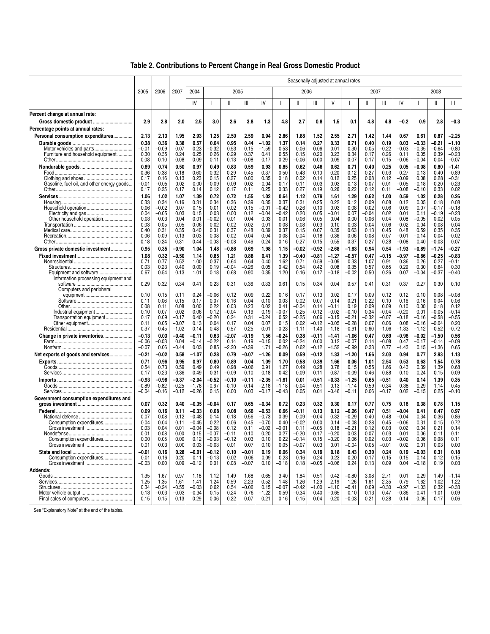|                                                                         |                    |                    | Seasonally adjusted at annual rates |                    |                    |                 |                 |                    |                    |                    |                 |                    |                    |               |                    |                    |                    |                    |                    |
|-------------------------------------------------------------------------|--------------------|--------------------|-------------------------------------|--------------------|--------------------|-----------------|-----------------|--------------------|--------------------|--------------------|-----------------|--------------------|--------------------|---------------|--------------------|--------------------|--------------------|--------------------|--------------------|
|                                                                         | 2005               | 2006               | 2007                                | 2004               |                    | 2005            |                 |                    |                    | 2006               |                 |                    |                    | 2007          |                    |                    |                    | 2008               |                    |
|                                                                         |                    |                    |                                     | IV                 |                    | Ш               | Ш               | IV                 |                    | $\mathbf{I}$       | Ш               | IV                 |                    | Ш             | Ш                  | IV                 |                    | Ш                  | Ш                  |
| Percent change at annual rate:                                          |                    |                    |                                     |                    |                    |                 |                 |                    |                    |                    |                 |                    |                    |               |                    |                    |                    |                    |                    |
| Gross domestic product                                                  | 2.9                | 2.8                | 2.0                                 | 2.5                | 3.0                | 2.6             | 3.8             | 1.3                | 4.8                | 2.7                | 0.8             | 1.5                | 0.1                | 4.8           | 4.8                | $-0.2$             | 0.9                | 2.8                | $-0.3$             |
| Percentage points at annual rates:<br>Personal consumption expenditures | 2.13               | 2.13               | 1.95                                | 2.93               | 1.25               | 2.50            | 2.59            | 0.94               | 2.86               | 1.88               | 1.52            | 2.55               | 2.71               | 1.42          | 1.44               | 0.67               | 0.61               | 0.87               | $-2.25$            |
|                                                                         | 0.38               | 0.36               | 0.38                                | 0.57               | 0.04               | 0.95            | 0.44            | $-1.02$            | 1.37               | 0.14               | 0.27            | 0.33               | 0.71               | 0.40          | 0.19               | 0.03               | $-0.33$            | $-0.21$            | $-1.10$            |
|                                                                         | $-0.01$            | -0.09              | 0.07                                | 0.23               | $-0.32$            | 0.53            | 0.15            | $-1.59$            | 0.53               | 0.06               | 0.06            | 0.01               | 0.30               | 0.05          | $-0.22$            | $-0.03$            | $-0.35$            | $-0.64$            | $-0.80$            |
| Furniture and household equipment                                       | 0.30               | 0.35               | 0.24                                | 0.25               | 0.26               | 0.29            | 0.37            | 0.41               | 0.55               | 0.15               | 0.20            | 0.23               | 0.34               | 0.17          | 0.26               | 0.11               | 0.05               | 0.39               | $-0.23$            |
|                                                                         | 0.08               | 0.10               | 0.08                                | 0.09               | 0.11               | 0.13            | $-0.08$         | 0.17               | 0.29               | $-0.06$            | 0.00            | 0.09               | 0.07               | 0.17          | 0.15               | $-0.06$            | $-0.04$            | 0.04               | $-0.07$            |
| Food                                                                    | 0.69<br>0.36       | 0.74<br>0.38       | 0.50<br>0.18                        | 0.97<br>0.60       | 0.49<br>0.32       | 0.83<br>0.29    | 0.59<br>0.45    | 0.93<br>0.37       | 0.85<br>0.50       | 0.62<br>0.43       | 0.46<br>0.10    | 0.62<br>0.20       | 0.71<br>0.12       | 0.40<br>0.27  | 0.25<br>0.03       | 0.05<br>0.27       | $-0.08$<br>0.13    | 0.80<br>0.40       | $-1.41$<br>$-0.89$ |
|                                                                         | 0.17               | 0.16               | 0.13                                | 0.23               | 0.15               | 0.27            | 0.00            | 0.35               | 0.18               | 0.02               | 0.14            | 0.12               | 0.25               | 0.08          | 0.12               | $-0.09$            | 0.08               | 0.28               | $-0.31$            |
| Gasoline, fuel oil, and other energy goods                              | $-0.01$            | -0.05              | 0.02                                | 0.00               | -0.09              | 0.09            | 0.02            | -0.04              | -0.17              | -0.11              | 0.03            | 0.03               | 0.13               | -0.07         | -0.01              | $-0.05$            | $-0.18$            | -0.20              | $-0.23$            |
|                                                                         | 0.17               | 0.25               | 0.17                                | 0.14               | 0.12               | 0.17            | 0.11            | 0.25               | 0.33               | 0.27               | 0.19            | 0.26               | 0.22               | 0.12          | 0.11               | $-0.08$            | $-0.10$            | 0.33               | 0.02               |
|                                                                         | 1.06               | 1.02               | 1.07                                | 1.39               | 0.72               | 0.72            | 1.55            | 1.02               | 0.64               | 1.12               | 0.79            | 1.61               | 1.29               | 0.62          | 1.00               | 0.59               | 1.02               | 0.28               | 0.26               |
|                                                                         | 0.33<br>0.06       | 0.34<br>$-0.02$    | 0.16<br>0.07                        | 0.31<br>0.15       | 0.34<br>0.01       | 0.36<br>0.02    | 0.39<br>0.15    | 0.35<br>$-0.01$    | 0.37<br>$-0.42$    | 0.31<br>0.26       | 0.25<br>0.10    | 0.22<br>0.03       | 0.12<br>0.08       | 0.09<br>0.02  | 0.08<br>0.06       | 0.12<br>0.09       | 0.05<br>0.07       | 0.18<br>-0.17      | 0.08<br>$-0.18$    |
|                                                                         | 0.04               | $-0.05$            | 0.03                                | 0.15               | 0.03               | 0.00            | 0.12            | $-0.04$            | $-0.42$            | 0.20               | 0.05            | -0.01              | 0.07               | -0.04         | 0.02               | 0.01               | 0.11               | $-0.19$            | $-0.23$            |
|                                                                         | 0.03               | 0.03               | 0.04                                | 0.01               | $-0.02$            | 0.01            | 0.04            | 0.03               | 0.01               | 0.06               | 0.05            | 0.04               | 0.00               | 0.06          | 0.04               | 0.08               | $-0.05$            | 0.02               | 0.05               |
|                                                                         | 0.03<br>0.40       | 0.05<br>0.31       | 0.05<br>0.35                        | 0.06<br>0.40       | 0.02<br>0.31       | 0.02<br>0.37    | 0.02<br>0.48    | 0.01<br>0.39       | 0.08<br>0.37       | 0.08<br>0.15       | 0.03<br>0.07    | 0.10<br>0.35       | 0.03<br>0.63       | 0.04<br>0.13  | 0.06<br>0.45       | $-0.02$<br>0.48    | 0.04<br>0.59       | $-0.08$<br>0.35    | $-0.04$<br>0.35    |
|                                                                         | 0.06               | 0.09               | 0.13                                | 0.03               | 0.08               | 0.02            | 0.04            | 0.04               | 0.08               | 0.04               | 0.18            | 0.36               | 0.06               | 0.08          | 0.07               | $-0.01$            | $-0.14$            | 0.04               | $-0.02$            |
|                                                                         | 0.18               | 0.24               | 0.31                                | 0.44               | $-0.03$            | $-0.08$         | 0.46            | 0.24               | 0.16               | 0.27               | 0.15            | 0.55               | 0.37               | 0.27          | 0.28               | $-0.08$            | 0.40               | $-0.03$            | 0.07               |
| Gross private domestic investment                                       | 0.95               | 0.35               | $-0.90$                             | 1.04               | 1.48               | $-0.86$         | 0.69            | 1.98               | 1.15               | -0.02              | $-0.92$         | -2.68              | $-1.63$            | 0.94          | 0.54               | $-1.93$            | $-0.89$            | $-1.74$            | $-0.27$            |
|                                                                         | 1.08               | 0.32               | $-0.50$                             | 1.14               | 0.85               | 1.21            | 0.88            | 0.41               | 1.39               | -0.40              | -0.81           | -1.27              | -0.57              | 0.47          | -0.15              | $-0.97$            | $-0.86$            | -0.25              | $-0.83$            |
|                                                                         | 0.71<br>0.03       | 0.77<br>0.23       | 0.52<br>0.40                        | 1.00<br>0.00       | 0.37<br>0.19       | 0.64<br>$-0.04$ | 0.64<br>$-0.26$ | 0.40<br>0.05       | 1.62<br>0.42       | 0.71<br>0.54       | 0.59<br>0.42    | -0.09<br>0.08      | 0.33<br>0.35       | 1.07<br>0.57  | 0.91<br>0.65       | 0.36<br>0.29       | 0.26<br>0.30       | 0.27<br>0.64       | $-0.11$<br>0.30    |
| Equipment and software                                                  | 0.67               | 0.54               | 0.13                                | 1.01               | 0.18               | 0.68            | 0.90            | 0.35               | 1.20               | 0.16               | 0.17            | $-0.18$            | $-0.02$            | 0.50          | 0.26               | 0.07               | $-0.04$            | $-0.37$            | $-0.40$            |
| Information processing equipment and                                    |                    |                    |                                     |                    |                    |                 |                 |                    |                    |                    |                 |                    |                    |               |                    |                    |                    |                    |                    |
|                                                                         | 0.29               | 0.32               | 0.34                                | 0.41               | 0.23               | 0.31            | 0.36            | 0.33               | 0.61               | 0.15               | 0.34            | 0.04               | 0.57               | 0.41          | 0.31               | 0.37               | 0.27               | 0.30               | 0.10               |
| Computers and peripheral                                                | 0.10               | 0.15               | 0.11                                | 0.24               | $-0.06$            | 0.12            | 0.09            | 0.22               | 0.16               | 0.17               | 0.13            | 0.02               | 0.17               | 0.09          | 0.12               | 0.12               | 0.10               | 0.08               | $-0.08$            |
|                                                                         | 0.11               | 0.06               | 0.15                                | 0.17               | 0.07               | 0.16            | 0.04            | 0.10               | 0.03               | 0.02               | 0.07            | 0.14               | 0.21               | 0.22          | 0.10               | 0.16               | 0.16               | 0.04               | 0.06               |
|                                                                         | 0.08               | 0.11               | 0.08                                | 0.00               | 0.22               | 0.03            | 0.23            | 0.02               | 0.41               | $-0.04$            | 0.14            | -0.11              | 0.19               | 0.09          | 0.09               | 0.10               | 0.00               | 0.18               | 0.12               |
| Transportation equipment                                                | 0.10<br>0.17       | 0.07<br>0.09       | 0.02<br>$-0.17$                     | 0.06<br>0.40       | 0.12<br>$-0.20$    | $-0.04$<br>0.24 | 0.19<br>0.31    | 0.19<br>$-0.24$    | $-0.07$<br>0.52    | 0.25<br>$-0.25$    | $-0.12$<br>0.06 | $-0.02$<br>$-0.15$ | $-0.10$<br>$-0.21$ | 0.34<br>-0.32 | $-0.04$<br>$-0.07$ | $-0.20$<br>$-0.18$ | 0.01<br>$-0.16$    | -0.05<br>$-0.58$   | $-0.14$<br>$-0.55$ |
|                                                                         | 0.11               | 0.05               | $-0.07$                             | 0.13               | 0.04               | 0.17            | 0.04            | 0.07               | 0.15               | 0.02               | $-0.12$         | $-0.05$            | $-0.28$            | 0.07          | 0.06               | 0.08               | $-0.16$            | $-0.04$            | 0.20               |
|                                                                         | 0.37               | -0.45              | $-1.02$                             | 0.14               | 0.48               | 0.57            | 0.25            | 0.01               | $-0.23$            | -1.11              | $-1.40$         | $-1.18$            | $-0.91$            | -0.60         | $-1.06$            | $-1.33$            | $-1.12$            | $-0.52$            | $-0.72$            |
|                                                                         | $-0.13$            | 0.03               | $-0.40$                             | $-0.11$            | 0.63               | $-2.07$         | $-0.19$         | 1.56               | $-0.24$            | 0.38               | $-0.11$         | -1.41              | $-1.06$            | 0.47          | 0.69               | $-0.96$            | $-0.02$            | $-1.50$            | 0.56               |
|                                                                         | $-0.06$<br>$-0.07$ | -0.03<br>0.06      | 0.04<br>$-0.44$                     | -0.14<br>0.03      | $-0.22$<br>0.85    | 0.14<br>$-2.20$ | 0.19<br>$-0.39$ | $-0.15$<br>1.71    | 0.02<br>$-0.26$    | $-0.24$<br>0.62    | 0.00<br>$-0.12$ | 0.12<br>$-1.52$    | $-0.07$<br>$-0.99$ | 0.14<br>0.33  | $-0.08$<br>0.77    | 0.47<br>-1.43      | $-0.17$<br>0.15    | $-0.14$<br>$-1.36$ | $-0.09$<br>0.65    |
| Net exports of goods and services                                       | $-0.21$            | -0.02              | 0.58                                | -1.07              | 0.28               | 0.79            | $-0.07$         | $-1.26$            | 0.09               | 0.59               | -0.12           | 1.33               | $-1.20$            | 1.66          | 2.03               | 0.94               | 0.77               | 2.93               | 1.13               |
|                                                                         | 0.71               | 0.96               | 0.95                                | 0.97               | 0.80               | 0.89            | 0.04            | 1.09               | 1.70               | 0.58               | 0.39            | 1.66               | 0.06               | 1.01          | 2.54               | 0.53               | 0.63               | 1.54               | 0.78               |
|                                                                         | 0.54               | 0.73               | 0.59                                | 0.49               | 0.49               | 0.98            | $-0.06$         | 0.91               | 1.27               | 0.49               | 0.28            | 0.78               | 0.15               | 0.55          | 1.66               | 0.43               | 0.39               | 1.39               | 0.68               |
|                                                                         | 0.17               | 0.23               | 0.36                                | 0.49               | 0.31               | $-0.09$         | 0.10            | 0.18               | 0.42               | 0.09               | 0.11            | 0.87               | $-0.09$            | 0.46          | 0.88               | 0.10               | 0.24               | 0.15               | 0.09               |
|                                                                         | $-0.93$            | -0.98              | $-0.37$                             | $-2.04$            | $-0.52$            | $-0.10$         | $-0.11$         | $-2.35$            | -1.61              | 0.01               | -0.51           | -0.33              | $-1.25$            | 0.65          | $-0.51$            | 0.40               | 0.14               | 1.39               | 0.35               |
|                                                                         | $-0.89$<br>$-0.04$ | $-0.82$<br>$-0.16$ | $-0.25$<br>$-0.12$                  | $-1.78$<br>$-0.26$ | $-0.67$<br>0.15    | $-0.10$<br>0.00 | $-0.14$<br>0.03 | $-2.18$<br>$-0.17$ | $-1.18$<br>$-0.43$ | -0.04<br>0.05      | $-0.51$<br>0.01 | 0.13<br>-0.46      | $-1.14$<br>$-0.11$ | 0.59<br>0.06  | $-0.34$<br>$-0.17$ | 0.38<br>0.02       | 0.29<br>$-0.15$    | 1.14<br>0.25       | 0.45<br>$-0.10$    |
| Government consumption expenditures and                                 |                    |                    |                                     |                    |                    |                 |                 |                    |                    |                    |                 |                    |                    |               |                    |                    |                    |                    |                    |
|                                                                         | 0.07               | 0.32               | 0.40                                | $-0.35$            | $-0.04$            | 0.17            | 0.65            | $-0.34$            | 0.72               | 0.23               | 0.32            | 0.30               | 0.17               | 0.77          | 0.75               | 0.16               | 0.38               | 0.78               | 1.15               |
|                                                                         | 0.09               | 0.16               | 0.11                                | $-0.33$            | 0.08               | 0.08            | 0.66            | $-0.53$            | 0.66               | $-0.11$            | 0.13            | 0.12               | $-0.26$            | 0.47          | 0.51               | $-0.04$            | 0.41               | 0.47               | 0.97               |
|                                                                         | 0.07               | 0.08               | 0.12                                | $-0.48$            | 0.14               | 0.18            | 0.56            | $-0.73$            | 0.39               | 0.09               | $-0.04$         | 0.32               | $-0.29$            | 0.40          | 0.48               | $-0.04$            | 0.34               | 0.36               | 0.86               |
| Consumption expenditures                                                | 0.04<br>0.03       | 0.04<br>0.04       | 0.11<br>0.01                        | $-0.45$<br>$-0.04$ | 0.22<br>$-0.08$    | 0.06<br>0.12    | 0.45<br>0.11    | $-0.70$<br>$-0.02$ | 0.40<br>$-0.01$    | $-0.02$<br>0.11    | 0.00<br>$-0.05$ | 0.14<br>0.18       | $-0.08$<br>$-0.21$ | 0.28<br>0.12  | 0.45<br>0.03       | $-0.06$<br>0.02    | 0.31<br>0.04       | 0.15<br>0.21       | 0.72<br>0.14       |
|                                                                         | 0.01               | 0.08               | 0.00                                | 0.15               | $-0.07$            | $-0.11$         | 0.10            | 0.20               | 0.27               | $-0.20$            | 0.17            | $-0.20$            | 0.03               | 0.07          | 0.03               | 0.01               | 0.06               | 0.11               | 0.11               |
| Consumption expenditures                                                | 0.00               | 0.05               | 0.00                                | 0.12               | $-0.03$            | $-0.12$         | 0.03            | 0.10               | 0.22               | $-0.14$            | 0.15            | $-0.20$            | 0.06               | 0.02          | 0.03               | $-0.02$            | 0.06               | 0.08               | 0.11               |
|                                                                         | 0.01               | 0.03               | 0.00                                | 0.03               | $-0.03$            | 0.01            | 0.07            | 0.10               | 0.05               | $-0.07$            | 0.03            | 0.01               | $-0.04$            | 0.05          | $-0.01$            | 0.02               | 0.01               | 0.03               | 0.00               |
| Consumption expenditures                                                | $-0.01$<br>0.01    | 0.16               | 0.28<br>0.20                        | $-0.01$<br>0.11    | $-0.12$<br>$-0.13$ | 0.10<br>0.02    | $-0.01$<br>0.06 | 0.19<br>0.09       | 0.06<br>0.23       | 0.34<br>0.16       | 0.19<br>0.24    | 0.18<br>0.23       | 0.43<br>0.20       | 0.30<br>0.17  | 0.24<br>0.15       | 0.19               | $-0.03$<br>0.14    | 0.31<br>0.12       | 0.18               |
|                                                                         | $-0.03$            | 0.16<br>0.00       | 0.09                                | $-0.12$            | 0.01               | 0.08            | $-0.07$         | 0.10               | $-0.18$            | 0.18               | $-0.05$         | $-0.06$            | 0.24               | 0.13          | 0.09               | 0.15<br>0.04       | $-0.18$            | 0.19               | 0.15<br>0.03       |
| Addenda:                                                                |                    |                    |                                     |                    |                    |                 |                 |                    |                    |                    |                 |                    |                    |               |                    |                    |                    |                    |                    |
|                                                                         | 1.35               | 1.67               | 0.97                                | 1.18               | 1.12               | 1.49            | 1.68            | 0.65               | 3.40               | 1.84               | 0.51            | 0.42               | $-0.80$            | 3.08          | 2.71               | 0.01               | 0.29               | 1.49               | $-1.14$            |
|                                                                         | 1.25               | 1.35               | 1.61                                | 1.41               | 1.24               | 0.59            | 2.23            | 0.52               | 1.48               | 1.26               | 1.29            | 2.19               | 1.26               | 1.61          | 2.35               | 0.79               | 1.62               | 1.02               | 1.22               |
|                                                                         | 0.34<br>0.13       | $-0.24$<br>$-0.03$ | $-0.55$<br>$-0.03$                  | $-0.03$<br>$-0.34$ | 0.62<br>0.15       | 0.54<br>0.24    | $-0.06$<br>0.76 | 0.15<br>$-1.22$    | $-0.07$<br>0.59    | $-0.42$<br>$-0.34$ | $-1.00$<br>0.40 | $-1.10$<br>$-0.65$ | $-0.41$<br>0.10    | 0.09<br>0.13  | $-0.30$<br>0.47    | $-0.97$<br>$-0.86$ | $-1.03$<br>$-0.41$ | 0.32<br>$-1.01$    | $-0.33$<br>0.09    |
|                                                                         | 0.15               | 0.15               | 0.13                                | 0.29               | 0.06               | 0.22            | 0.07            | 0.21               | 0.16               | 0.15               | 0.04            | 0.20               | $-0.03$            | 0.21          | 0.28               | 0.14               | 0.05               | 0.17               | 0.06               |
|                                                                         |                    |                    |                                     |                    |                    |                 |                 |                    |                    |                    |                 |                    |                    |               |                    |                    |                    |                    |                    |

See "Explanatory Note" at the end of the tables.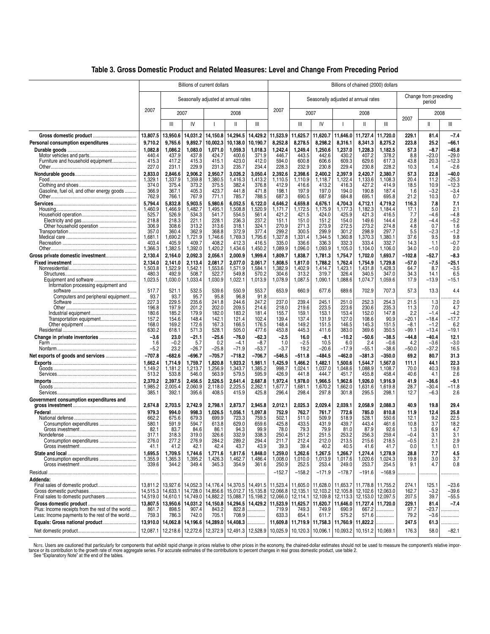|  |  |  | Table 3. Gross Domestic Product and Related Measures: Level and Change From Preceding Period |
|--|--|--|----------------------------------------------------------------------------------------------|
|  |  |  |                                                                                              |

|                                                  |                  |                                 |                  | Billions of current dollars            |                   |                                            | Billions of chained (2000) dollars |                      |                      |                      |                                                     |                   |                |                                 |                    |  |  |
|--------------------------------------------------|------------------|---------------------------------|------------------|----------------------------------------|-------------------|--------------------------------------------|------------------------------------|----------------------|----------------------|----------------------|-----------------------------------------------------|-------------------|----------------|---------------------------------|--------------------|--|--|
|                                                  |                  |                                 |                  | Seasonally adjusted at annual rates    |                   |                                            |                                    |                      |                      |                      | Seasonally adjusted at annual rates                 |                   |                | Change from preceding<br>period |                    |  |  |
|                                                  | 2007             | 2007                            |                  |                                        | 2008              |                                            | 2007                               | 2007                 |                      |                      | 2008                                                |                   | 2007           | 2008                            |                    |  |  |
|                                                  |                  | Ш                               | IV               |                                        | $\mathbf{I}$      | Ш                                          |                                    | Ш                    | IV                   |                      | Ш                                                   | Ш                 |                | Ш                               | Ш                  |  |  |
|                                                  | 13,807.5         | 13,950.6                        | 14,031.2         | 14,150.8                               | 14,294.5          | 14,429.2                                   | 11,523.9                           | 11,625.7             | 11,620.7             | 11,646.0             | 11,727.4                                            | 11,720.0          | 229.1          | 81.4                            | $-7.4$             |  |  |
| Personal consumption expenditures                | 9,710.2          | 9,765.6                         | 9,892.7          | 10,002.3                               | 10,138.0          | 10,190.7                                   | 8,252.8                            | 8,278.5              | 8,298.2              | 8,316.1              | 8,341.3                                             | 8,275.2           | 223.8          | 25.2                            | $-66.1$            |  |  |
|                                                  | 1,082.8<br>440.4 | 1,086.2<br>437.9                | 1,083.0<br>437.8 | 1,071.0<br>424.7                       | 1,059.3<br>400.6  | 1,018.3<br>371.9                           | 1,242.4<br>446.7                   | 1,249.4<br>443.5     | 1,250.6<br>442.6     | 1,237.0<br>430.2     | 1,228.3<br>407.2                                    | 1,182.5<br>378.2  | 57.3<br>8.8    | $-8.7$<br>$-23.0$               | $-45.8$<br>$-29.0$ |  |  |
| Furniture and household equipment                | 415.3            | 417.2                           | 415.3            | 415.1                                  | 423.0             | 412.0                                      | 594.0                              | 600.8                | 606.6                | 609.3                | 629.6                                               | 617.3             | 43.8           | 20.3                            | $-12.3$            |  |  |
|                                                  | 227.0            | 231.1                           | 229.9            | 231.3                                  | 235.7             | 234.4                                      | 228.3                              | 232.9                | 230.8                | 229.4                | 230.8                                               | 228.2             | 10.3           | 1.4                             | $-2.6$             |  |  |
|                                                  | 2,833.0          | 2,846.6                         | 2,906.2          | 2,950.7                                | 3,026.2           | 3,050.4                                    | 2,392.6                            | 2,398.6              | 2,400.2              | 2,397.9              | 2,420.7                                             | 2,380.7           | 57.3           | 22.8                            | $-40.0$            |  |  |
|                                                  | 1,329.1          | 1,337.9                         | 1,359.8          | 1,380.5                                | 1,416.3           | 1,413.2                                    | 1,110.5                            | 1,110.9              | 1,118.7              | 1,122.4              | 1,133.6                                             | 1.108.3           | 20.4           | 11.2                            | $-25.3$            |  |  |
| Gasoline, fuel oil, and other energy goods       | 374.0<br>366.9   | 375.4<br>367.1                  | 373.2<br>405.3   | 375.5<br>423.7                         | 382.4<br>441.8    | 376.8<br>471.8                             | 412.9<br>198.1                     | 416.6<br>197.9       | 413.2<br>197.0       | 416.3<br>194.0       | 427.2<br>190.8                                      | 414.9<br>187.4    | 18.5<br>1.6    | 10.9<br>$-3.2$                  | $-12.3$<br>$-3.4$  |  |  |
|                                                  | 762.9            | 766.1                           | 767.9            | 771.1                                  | 785.7             | 788.5                                      | 687.3                              | 690.5                | 687.9                | 684.8                | 695.1                                               | 695.8             | 21.2           | 10.3                            | 0.7                |  |  |
|                                                  | 5.794.4          | 5.832.8                         | 5.903.5          | 5.980.6                                | 6,052.5           | 6.122.0                                    | 4.646.2                            | 4,659.8              | 4.676.1              | 4.704.3              | 4,712.1                                             | 4.719.2           | 116.3          | 7.8                             | 7.1                |  |  |
|                                                  | 1,460.9          | 1,466.9                         | 1,482.7          | 1,495.1                                | 1,508.8           | 1,520.9                                    | 1,171.7                            | 1,172.5              | 1,175.9              | 1,177.3              | 1,182.3                                             | 1,184.4           | 17.1           | 5.0                             | 2.1                |  |  |
|                                                  | 525.7            | 526.9                           | 534.3            | 541.7                                  | 554.5             | 561.4                                      | 421.2                              | 421.5                | 424.0                | 425.9                | 421.3                                               | 416.5             | 7.7            | -4.6                            | $-4.8$             |  |  |
|                                                  | 218.8            | 218.3                           | 221.1            | 228.1                                  | 236.3             | 237.2                                      | 151.1                              | 151.0                | 151.2                | 154.0                | 149.6                                               | 144.4             | 2.8            | $-4.4$                          | $-5.2$             |  |  |
|                                                  | 306.9<br>357.0   | 308.6<br>360.4                  | 313.2<br>362.9   | 313.6<br>368.8                         | 318.1<br>372.9    | 324.1<br>377.4                             | 270.9<br>299.2                     | 271.3<br>300.5       | 273.9<br>299.9       | 272.5<br>301.2       | 273.2<br>298.9                                      | 274.8<br>297.7    | 4.8<br>5.5     | 0.7<br>$-2.3$                   | 1.6<br>-1.2        |  |  |
|                                                  | 1,681.1          | 1,690.2                         | 1,721.9          | 1,746.6                                | 1,769.3           | 1,795.6                                    | 1,327.8                            | 1,331.4              | 1,344.5              | 1,360.8              | 1,370.3                                             | 1.380.1           | 37.6           | 9.5                             | 9.8                |  |  |
|                                                  | 403.4            | 405.9                           | 409.7            | 408.2                                  | 412.3             | 416.5                                      | 335.0                              | 336.6                | 336.3                | 332.3                | 333.4                                               | 332.7             | 14.3           | 1.1                             | $-0.7$             |  |  |
|                                                  | 1,366.3          | 1,382.5                         | 1,392.0          | 1,420.2                                | 1,434.6           | 1,450.2                                    | 1,089.9                            | 1,096.0              | 1,093.9              | 1,105.0              | 1,104.0                                             | 1,106.0           | 34.0           | $-1.0$                          | 2.0                |  |  |
| Gross private domestic investment                | 2,130.4          | 2,164.0                         | 2,092.3          | 2,056.1                                | 2,000.9           | 1,999.4                                    | 1,809.7                            | 1,838.7              | 1,781.3              | 1,754.7              | 1,702.0                                             | 1,693.7           | $-102.8$       | -52.7                           | $-8.3$             |  |  |
|                                                  | 2,134.0          | 2,141.0                         | 2,113.4          | 2,081.7                                | 2,077.0           | 2,061.7                                    | 1,808.5                            | 1,817.0              | 1,788.2              | 1,762.4              | 1,754.9                                             | 1,729.8           | -57.0          | $-7.5$                          | -25.1              |  |  |
|                                                  | 1,503.8<br>480.3 | 1,522.9<br>492.9                | 1,542.1<br>508.7 | 1,553.6<br>522.7                       | 1,571.9<br>549.8  | 1,584.1<br>570.2                           | 1,382.9<br>304.6                   | 1,402.9<br>313.2     | 1.414.7<br>319.7     | 1,423.1<br>326.4     | 1,431.8<br>340.5                                    | 1,428.3<br>347.0  | 64.7<br>34.3   | 8.7<br>14.1                     | $-3.5$<br>6.5      |  |  |
|                                                  | 1,023.5          | 1,030.0                         | 1,033.4          | 1,030.9                                | 1,022.1           | 1,013.9                                    | 1,078.9                            | 1,087.5              | 1,090.1              | 1,088.6              | 1,074.7                                             | 1,059.6           | 17.9           | $-13.9$                         | $-15.1$            |  |  |
| Information processing equipment and             |                  |                                 |                  |                                        |                   |                                            |                                    |                      |                      |                      |                                                     |                   |                |                                 |                    |  |  |
|                                                  | 517.7            | 521.1                           | 532.5            | 539.6                                  | 550.9             | 553.7                                      | 653.9                              | 660.9                | 677.6                | 689.6                | 702.9                                               | 707.3             | 57.3           | 13.3                            | 4.4                |  |  |
| Computers and peripheral equipment               | 93.7<br>227.3    | 93.7<br>229.5                   | 95.7<br>235.6    | 95.8<br>241.8                          | 96.8              | 91.8<br>247.2                              | 237.0                              | 239.4                | 245.1                | 251.0                |                                                     | 254.3             | 21.5           | 1.3                             | .                  |  |  |
|                                                  | 196.8            | 197.9                           | 201.2            | 202.0                                  | 244.6<br>209.5    | 214.6                                      | 218.0                              | 219.6                | 223.5                | 223.6                | 252.3<br>230.6                                      | 235.3             | 11.3           | 7.0                             | 2.0<br>4.7         |  |  |
|                                                  | 180.6            | 185.2                           | 179.9            | 182.0                                  | 183.2             | 181.4                                      | 155.7                              | 159.1                | 153.1                | 153.4                | 152.0                                               | 147.8             | 2.2            | $-1.4$                          | $-4.2$             |  |  |
| Transportation equipment                         | 157.2            | 154.6                           | 148.4            | 142.1                                  | 121.4             | 102.4                                      | 139.4                              | 137.4                | 131.9                | 127.0                | 108.6                                               | 90.9              | $-20.1$        | $-18.4$                         | $-17.7$            |  |  |
|                                                  | 168.0            | 169.2                           | 172.6            | 167.3                                  | 166.5             | 176.5                                      | 148.4                              | 149.2                | 151.5                | 146.5                | 145.3                                               | 151.5             | $-8.1$         | $-1.2$                          | 6.2                |  |  |
|                                                  | 630.2            | 618.1                           | 571.3            | 528.1                                  | 505.0             | 477.6                                      | 453.8                              | 445.3                | 411.6                | 383.0                | 369.6                                               | 350.5             | -99.1          | $-13.4$                         | -19.1              |  |  |
| Change in private inventories                    | $-3.6$<br>1.6    | 23.0<br>$-0.2$                  | -21.1<br>5.7     | $-25.6$<br>0.2                         | $-76.0$<br>$-4.1$ | -62.3<br>$-8.7$                            | $-2.5$<br>1.0                      | 16.0<br>$-2.5$       | $-8.1$<br>10.5       | $-10.2$<br>6.0       | $-50.6$<br>2.4                                      | $-38.5$<br>$-0.6$ | -44.8<br>4.2   | $-40.4$<br>$-3.6$               | 12.1<br>$-3.0$     |  |  |
|                                                  | $-5.2$           | 23.2                            | $-26.7$          | $-25.8$                                | $-71.9$           | $-53.7$                                    | $-3.7$                             | 19.2                 | $-20.6$              | $-17.9$              | $-55.1$                                             | -38.6             | –50.0          | $-37.2$                         | 16.5               |  |  |
|                                                  | $-707.8$         | $-682.6$                        | -696.7           | $-705.7$                               | $-718.2$          | -706.7                                     | -546.5                             | $-511.8$             | $-484.5$             | $-462.0$             | $-381.3$                                            | $-350.0$          | 69.2           | 80.7                            | 31.3               |  |  |
|                                                  | 1,662.4          | 1,714.9                         | 1,759.7          | 1,820.8                                | 1,923.2           | 1,981.1                                    | 1,425.9                            | 1,466.2              | 1,482.1              | 1,500.6              | 1,544.7                                             | 1,567.0           | 111.1          | 44.1                            | 22.3               |  |  |
|                                                  | 1,149.2          | 1,181.2                         | 1,213.7          | 1,256.9                                | 1,343.7           | 1,385.2                                    | 998.7                              | 1,024.1              | 1,037.0              | 1,048.6              | 1,088.9                                             | 1,108.7           | 70.0           | 40.3                            | 19.8               |  |  |
|                                                  | 513.2            | 533.8                           | 546.0            | 563.9                                  | 579.5             | 595.9                                      | 426.9                              | 441.8                | 444.7                | 451.7                | 455.8                                               | 458.4             | 40.6           | 4.1                             | 2.6                |  |  |
|                                                  | 2,370.2          | 2,397.5                         | 2.456.5          | 2.526.5                                | 2,641.4           | 2,687.8                                    | 1,972.4                            | 1,978.0              | 1,966.5              | 1,962.6              | 1,926.0                                             | 1.916.9           | 41.9           | -36.6                           | $-9.1$             |  |  |
|                                                  | 1,985.2          | 2,005.4<br>392.1                | 2,060.9<br>395.6 | 2,118.0<br>408.5                       | 2,225.5<br>415.9  | 2,262.1<br>425.8                           | 1,677.7<br>296.4                   | 1,681.1<br>298.4     | 1,670.2              | ,662.0<br>1<br>301.8 | 1,631.6<br>295.5                                    | 1,619.8<br>298.1  | 28.7<br>12.7   | $-30.4$                         | $-11.8$<br>2.6     |  |  |
| Government consumption expenditures and          | 385.1            |                                 |                  |                                        |                   |                                            |                                    |                      | 297.8                |                      |                                                     |                   |                | $-6.3$                          |                    |  |  |
|                                                  | 2,674.8          | 2,703.5                         | 2,742.9          | 2,798.1                                | 2,873.7           | 2,945.8                                    | 2,012.1                            | 2,025.3              | 2,029.4              | 2,039.1              | 2,058.9                                             | 2,088.3           | 40.9           | 19.8                            | 29.4               |  |  |
|                                                  | 979.3            | 994.0                           | 998.3            | 1,026.5                                | 1,056.1           | 1,097.8                                    | 752.9                              | 762.7                | 761.7                | 772.6                | 785.0                                               | 810.8             | 11.9           | 12.4                            | 25.8               |  |  |
|                                                  | 662.2            | 675.6                           | 679.3            | 699.9                                  | 723.3             | 759.5                                      | 502.1                              | 511.0                | 509.9                | 518.9                | 528.1                                               | 550.6             | 12.1           | 9.2                             | 22.5               |  |  |
|                                                  | 580.1            | 591.9                           | 594.7            | 613.8                                  | 629.0             | 659.6                                      | 425.8                              | 433.5                | 431.9                | 439.7                | 443.4                                               | 461.6             | 10.8           | 3.7                             | 18.2               |  |  |
|                                                  | 82.1<br>317.1    | 83.7<br>318.3                   | 84.6<br>319.0    | 86.1<br>326.6                          | 94.3<br>332.9     | 99.9<br>338.3                              | 78.0<br>250.4                      | 79.3<br>251.2        | 79.9<br>251.5        | 81.0<br>253.2        | 87.9<br>256.3                                       | 92.6<br>259.4     | 1.3<br>-0.4    | 6.9<br>3.1                      | 4.7<br>3.1         |  |  |
| Consumption expenditures                         | 276.0            | 277.2                           | 276.9            | 284.2                                  | 289.2             | 294.4                                      | 211.7                              | 212.4                | 212.0                | 213.5                | 215.6                                               | 218.5             | $-0.5$         | 2.1                             | 2.9                |  |  |
|                                                  | 41.1             | 41.2                            | 42.1             | 42.4                                   | 43.7              | 43.9                                       | 39.3                               | 39.4                 | 40.2                 | 40.5                 | 41.6                                                | 41.7              | 0.0            | 1.1                             | 0.1                |  |  |
|                                                  | 1,695.5          | 1,709.5                         | 1,744.6          | 1,771.6                                | 1,817.6           | 1,848.0                                    | 1,259.0                            | 1,262.6              | 1,267.5              | 1,266.7              | 1,274.4                                             | 1,278.9           | 28.8           | 7.7                             | 4.5                |  |  |
|                                                  | 1,355.9          | 1,365.3                         | 1,395.2          | 1,426.3                                | 1,462.7           | 1,486.4                                    | 1,008.0                            | 1,010.0              | 1,013.9              | 1,017.6              | 1,020.6                                             | 1,024.3           | 19.8           | 3.0                             | 3.7                |  |  |
|                                                  | 339.6            | 344.2                           | 349.4            | 345.3                                  | 354.9             | 361.6                                      | 250.9                              | 252.5                | 253.4                | 249.0                | 253.7                                               | 254.5             | 9.1            | 4.7                             | 0.8                |  |  |
|                                                  |                  |                                 |                  |                                        |                   | .                                          | $-152.7$                           | $-158.2$             | $-171.9$             | $-178.7$             | $-191.6$                                            | $-168.9$          |                |                                 |                    |  |  |
| Addenda:                                         |                  |                                 |                  |                                        |                   |                                            |                                    |                      |                      |                      |                                                     |                   |                |                                 |                    |  |  |
|                                                  | 13,811.2         | 13,927.6                        |                  | 14,052.3 14,176.4                      | 14,370.5          | 14,491.5                                   | 11,523.4                           | 11,605.0 11,628.0    |                      |                      | 11,653.7   11,778.8   11,755.2                      |                   | 274.1          | 125.1                           | $-23.6$            |  |  |
|                                                  | 14,515.3         | 14,633.1<br>14,519.0   14,610.1 |                  | 14,728.0 14,856.6<br>14,749.0 14,882.2 | 15,012.7          | 15,135.8<br>15,088.7   15,198.2   12,066.0 | 12,066.8                           | 12,135.1<br>12,114.1 | 12,103.2<br>12,109.8 |                      | 12,105.8 12,102.6<br>12,113.3   12,153.0   12,097.5 | 12,063.0          | 162.7<br>207.5 | $-3.2$<br>39.7                  | $-39.6$<br>$-55.5$ |  |  |
|                                                  |                  | 13,807.5 13,950.6               |                  | 14,031.2 14,150.8                      | 14,294.5          |                                            | 14,429.2 11,523.9                  | 11,625.7             | 11,620.7             |                      | 11,646.0 11,727.4                                   | 11,720.0          | 229.1          | 81.4                            | $-7.4$             |  |  |
| Plus: Income receipts from the rest of the world | 861.7            | 898.5                           | 907.4            | 843.2                                  | 822.8             | .                                          | 719.9                              | 749.3                | 749.9                | 690.9                | 667.2                                               | .                 | 97.7           | $-23.7$                         | .                  |  |  |
| Less: Income payments to the rest of the world   | 759.3            | 786.3                           | 742.0            | 705.1                                  | 708.9             | .                                          | 633.3                              | 654.1                | 611.7                | 575.2                | 571.6                                               | .                 | 79.2           | $-3.6$                          |                    |  |  |
| Equals: Gross national product                   | 13,910.0         | 14,062.8                        |                  | 14,196.6 14,289.0                      | 14,408.3          | .                                          | 11,609.8                           |                      |                      |                      | 11,719.9 11,758.3 11,760.9 11,822.2                 | .                 | 247.5          | 61.3                            | .                  |  |  |
|                                                  |                  | 12,087.1 12,218.6               |                  | 12,272.6 12,372.9                      |                   | 12,491.3 12,528.9                          | 10,025.9                           | 10, 120.3            | 10,096.1             |                      | 10,093.2 10,151.2 10,069.1                          |                   | 176.3          | 58.0                            | $-82.1$            |  |  |
|                                                  |                  |                                 |                  |                                        |                   |                                            |                                    |                      |                      |                      |                                                     |                   |                |                                 |                    |  |  |

Nore. Users are cautioned that particularly for components that exhibit rapid change in prices relative to other prices in the economy, the chained-dollar estimates should not be used to measure the component's relative im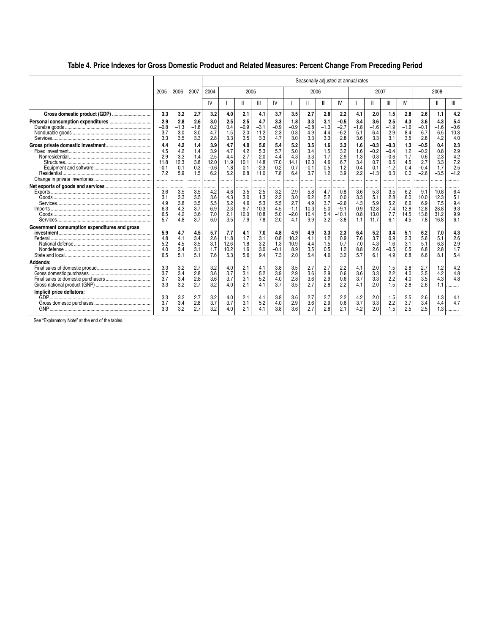## **Table 4. Price Indexes for Gross Domestic Product and Related Measures: Percent Change From Preceding Period**

|                                               |        |        |        |        |      |        |        |        |        |        |        |         | Seasonally adjusted at annual rates |        |        |        |        |        |                   |
|-----------------------------------------------|--------|--------|--------|--------|------|--------|--------|--------|--------|--------|--------|---------|-------------------------------------|--------|--------|--------|--------|--------|-------------------|
|                                               | 2005   | 2006   | 2007   | 2004   |      | 2005   |        |        |        | 2006   |        |         |                                     | 2007   |        |        |        | 2008   |                   |
|                                               |        |        |        | IV     |      |        | Ш      | IV     |        |        |        | IV      |                                     |        | Ш      | IV     |        |        |                   |
| Gross domestic product (GDP)                  | 3.3    | 3.2    | 2.7    | 3.2    | 4.0  | 2.1    | 4.1    | 3.7    | 3.5    | 2.7    | 2.8    | 2.2     | 4.1                                 | 2.0    | 1.5    | 2.8    | 2.6    | 1.1    | 4.2               |
|                                               | 2.9    | 2.8    | 2.6    | 3.0    | 2.5  | 2.5    | 4.7    | 3.3    | 1.8    | 3.3    | 3.1    | $-0.5$  | 3.4                                 | 3.6    | 2.5    | 4.3    | 3.6    | 4.3    | 5.4               |
|                                               | $-0.8$ | $-1.3$ | $-1.8$ | 0.2    | 0.4  | $-0.9$ | $-3.1$ | $-0.9$ | $-0.9$ | $-0.8$ | $-1.3$ | $-2.7$  | $-1.8$                              | $-1.6$ | $-1.9$ | $-1.6$ | $-0.1$ | $-1.6$ | $-0.6$            |
|                                               | 3.7    | 3.0    | 3.0    | 4.7    | 1.5  | 2.0    | 11.2   | 2.3    | 0.3    | 4.9    | 4.4    | $-6.2$  | 5.1                                 | 6.4    | 2.9    | 8.4    | 6.7    | 6.5    | 10.3              |
|                                               | 3.3    | 3.5    | 3.3    | 2.8    | 3.3  | 3.5    | 3.3    | 4.7    | 3.0    | 3.3    | 3.3    | 2.8     | 3.6                                 | 3.3    | 3.1    | 3.5    | 2.8    | 4.2    | 4.0               |
|                                               | 4.4    | 4.2    | 1.4    | 3.9    | 4.7  | 4.0    | 5.0    | 5.4    | 5.2    | 3.5    | 1.6    | 3.3     | 1.6                                 | $-0.3$ | $-0.3$ | 1.3    | $-0.5$ | 0.4    | 2.3               |
|                                               | 4.5    | 4.2    | 1.4    | 3.9    | 4.7  | 4.2    | 5.3    | 5.7    | 5.0    | 3.4    | 1.5    | 3.2     | 1.6                                 | $-0.2$ | $-0.4$ | 1.2    | $-0.2$ | 0.8    | $^{2.9}_{4.2}$    |
|                                               | 2.9    | 3.3    | 1.4    | 2.5    | 4.4  | 2.7    | 2.0    | 4.4    | 4.3    | 3.3    | 1.7    | 2.9     | 1.3                                 | 0.3    | $-0.6$ | 1.7    | 0.6    | 2.3    |                   |
|                                               | 11.8   | 12.3   | 3.8    | 12.0   | 11.9 | 10.1   | 14.8   | 17.0   | 14.1   | 12.0   | 4.6    | 6.7     | 3.4                                 | 0.7    | 0.5    | 4.5    | 2.7    | 3.3    | 7.2               |
|                                               | $-0.1$ | 0.1    | 0.3    | $-0.6$ | 1.8  | 0.1    | $-2.3$ | 0.2    | 0.7    | $-0.1$ | 0.5    | 1.2     | 0.4                                 | 0.1    | $-1.2$ | 0.4    | $-0.4$ | 1.7    | 2.5               |
|                                               | 7.2    | 5.9    | 1.5    | 6.2    | 5.2  | 6.8    | 11.0   | 7.8    | 6.4    | 3.7    | 1.2    | 3.9     | 2.2                                 | $-1.3$ | 0.3    | 0.0    | $-2.6$ | $-3.5$ | $-1.2$            |
|                                               |        | .      |        |        |      |        |        |        |        |        |        |         |                                     |        |        |        |        |        |                   |
|                                               | .      |        |        | .      |      |        |        |        |        |        |        |         |                                     |        |        |        |        |        |                   |
|                                               | 3.6    | 3.5    | 3.5    | 4.2    | 4.6  | 3.5    | 2.5    | 3.2    | 2.9    | 5.8    | 4.7    | $-0.8$  | 3.6                                 | 5.3    | 3.5    | 6.2    | 9.1    | 10.8   | 6.4               |
|                                               | 3.1    | 3.3    | 3.5    | 3.6    | 4.3  | 3.0    | 1.3    | 2.2    | 3.0    | 6.2    | 5.2    | 0.0     | 3.3                                 | 5.1    | 2.8    | 6.0    | 10.0   | 12.3   | 5.1               |
|                                               | 4.9    | 3.8    | 3.5    | 5.5    | 5.2  | 4.6    | 5.3    | 5.5    | 2.7    | 4.9    | 3.7    | $-2.6$  | 4.3                                 | 5.9    | 5.2    | 6.6    | 6.9    | 7.5    | 9.4               |
|                                               | 6.3    | 4.3    | 3.7    | 6.9    | 2.3  | 9.7    | 10.3   | 4.5    | $-1.1$ | 10.3   | 5.0    | $-9.1$  | 0.9                                 | 12.8   | 7.4    | 12.8   | 12.8   | 28.8   | 9.3               |
|                                               | 6.5    | 4.2    | 3.6    | 7.0    | 2.1  | 10.0   | 10.8   | 5.0    | $-2.0$ | 10.4   | 5.4    | $-10.1$ | 0.8                                 | 13.0   | 7.7    | 14.5   | 13.8   | 31.2   | 9.9               |
|                                               | 5.7    | 4.8    | 3.7    | 6.0    | 3.5  | 7.9    | 7.8    | 2.0    | 4.1    | 9.9    | 3.2    | $-3.8$  | 1.1                                 | 11.7   | 6.1    | 4.5    | 7.8    | 16.8   | 6.1               |
| Government consumption expenditures and gross |        |        |        |        |      |        |        |        |        |        |        |         |                                     |        |        |        |        |        |                   |
|                                               | 5.9    | 4.7    | 4.5    | 5.7    | 7.7  | 4.1    | 7.0    | 4.8    | 4.9    | 4.9    | 3.3    | 2.3     | 6.4                                 | 5.2    | 3.4    | 5.1    | 6.2    | 7.0    | $\frac{4.3}{2.6}$ |
|                                               | 4.8    | 4.1    | 3.4    | 2.6    | 11.8 | 1.7    | 3.1    | 0.8    | 10.2   | 4.1    | 1.2    | 0.9     | 7.6                                 | 3.7    | 0.9    | 2.3    | 5.6    | 5.1    |                   |
|                                               | 5.2    | 4.5    | 3.5    | 3.1    | 12.6 | 1.8    | 3.2    | 1.3    | 10.9   | 4.4    | 1.5    | 0.7     | 7.0                                 | 4.3    | 1.6    | 3.1    | 5.1    | 6.3    | 2.9               |
|                                               | 4.0    | 3.4    | 3.1    | 1.7    | 10.2 | 1.6    | 3.0    | $-0.1$ | 8.9    | 3.5    | 0.5    | 1.2     | 8.8                                 | 2.6    | $-0.5$ | 0.5    | 6.8    | 2.8    | 1.7               |
|                                               | 6.5    | 5.1    | 5.1    | 7.6    | 5.3  | 5.6    | 9.4    | 7.3    | 2.0    | 5.4    | 4.6    | 3.2     | 5.7                                 | 6.1    | 4.9    | 6.8    | 6.6    | 8.1    | 5.4               |
| Addenda:                                      |        |        |        |        |      |        |        |        |        |        |        |         |                                     |        |        |        |        |        |                   |
|                                               | 3.3    | 3.2    | 2.7    | 3.2    | 4.0  | 2.1    | 4.1    | 3.8    | 3.5    | 2.7    | 2.7    | 2.2     | 4.1                                 | 2.0    | 1.5    | 2.8    | 2.7    | 1.2    | 4.2               |
|                                               | 3.7    | 3.4    | 2.8    | 3.6    | 3.7  | 3.1    | 5.2    | 3.9    | 2.9    | 3.6    | 2.9    | 0.6     | 3.6                                 | 3.3    | 2.2    | 4.0    | 3.5    | 4.2    | 4.8               |
|                                               | 3.7    | 3.4    | 2.8    | 3.6    | 3.7  | 3.1    | 5.2    | 4.0    | 2.8    | 3.6    | 2.9    | 0.6     | 3.7                                 | 3.3    | 2.2    | 4.0    | 3.5    | 4.3    | 4.8               |
|                                               | 3.3    | 3.2    | 2.7    | 3.2    | 4.0  | 2.1    | 4.1    | 3.7    | 3.5    | 2.7    | 2.8    | 2.2     | 4.1                                 | 2.0    | 1.5    | 2.8    | 2.6    | 1.1    | .                 |
| Implicit price deflators:                     |        |        |        |        |      |        |        |        |        |        |        |         |                                     |        |        |        |        |        |                   |
|                                               | 3.3    | 3.2    | 2.7    | 3.2    | 4.0  | 2.1    | 4.1    | 3.8    | 3.6    | 2.7    | 2.7    | 2.2     | 4.2                                 | 2.0    | 1.5    | 2.5    | 2.6    | 1.3    | 4.1               |
|                                               | 3.7    | 3.4    | 2.8    | 3.7    | 3.7  | 3.1    | 5.2    | 4.0    | 2.9    | 3.6    | 2.9    | 0.6     | 3.7                                 | 3.3    | 2.2    | 3.7    | 3.4    | 4.4    | 4.7               |
|                                               | 3.3    | 3.2    | 2.7    | 3.2    | 4.0  | 2.1    | 4.1    | 3.8    | 3.6    | 2.7    | 2.8    | 2.1     | 4.2                                 | 2.0    | 1.5    | 2.5    | 2.5    | 1.3    | .                 |
|                                               |        |        |        |        |      |        |        |        |        |        |        |         |                                     |        |        |        |        |        |                   |

See "Explanatory Note" at the end of the tables.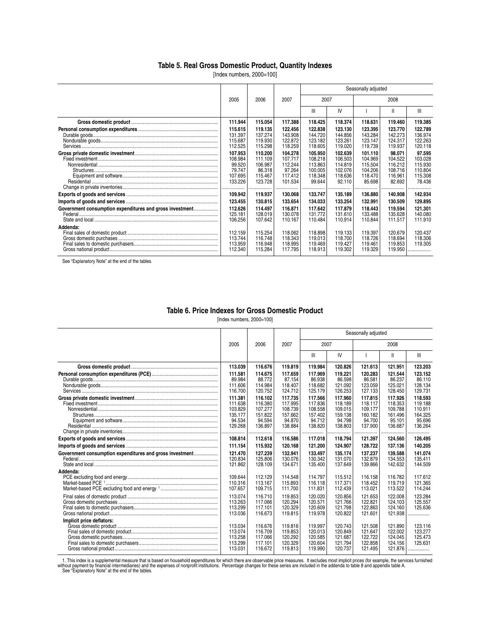### **Table 5. Real Gross Domestic Product, Quantity Indexes**

[Index numbers, 2000=100]

|                                                          |                                                                  |                                                               |                                                               |                                                               |                                                               | Seasonally adjusted                                           |                                                              |                                                              |
|----------------------------------------------------------|------------------------------------------------------------------|---------------------------------------------------------------|---------------------------------------------------------------|---------------------------------------------------------------|---------------------------------------------------------------|---------------------------------------------------------------|--------------------------------------------------------------|--------------------------------------------------------------|
|                                                          | 2005                                                             | 2006                                                          | 2007                                                          | 2007                                                          |                                                               |                                                               | 2008                                                         |                                                              |
|                                                          |                                                                  |                                                               |                                                               | Ш                                                             | IV                                                            |                                                               | Ш                                                            | Ш                                                            |
|                                                          | 111.944                                                          | 115.054                                                       | 117.388                                                       | 118.425                                                       | 118.374                                                       | 118.631                                                       | 119.460                                                      | 119.385                                                      |
|                                                          | 115.615<br>131.397<br>115.687<br>112.525                         | 119.135<br>137.274<br>119.930<br>115.298                      | 122.456<br>143.908<br>122.872<br>118.259                      | 122.838<br>144.720<br>123.182<br>118.605                      | 123.130<br>144.856<br>123.261<br>119.020                      | 123.395<br>143.284<br>123.147<br>119.739                      | 123.770<br>142.273<br>124.317<br>119.937                     | 122.789<br>136.974<br>122.263<br>120.118                     |
|                                                          | 107.953<br>108.984<br>99.520<br>79.747<br>107.695<br>133.226<br> | 110.200<br>111.109<br>106.987<br>86.318<br>115.467<br>123.728 | 104.278<br>107.717<br>112.244<br>97.264<br>117.412<br>101.534 | 105.950<br>108.218<br>113.863<br>100.005<br>118.348<br>99.644 | 102.639<br>106.503<br>114.819<br>102.076<br>118.636<br>92.110 | 101.110<br>104.969<br>115.504<br>104.206<br>118.470<br>85.698 | 98.071<br>104.522<br>116.212<br>108.716<br>116.961<br>82.692 | 97.595<br>103.028<br>115.930<br>110.804<br>115.308<br>78.436 |
|                                                          | 109.942                                                          | 119.937                                                       | 130.068                                                       | 133.747                                                       | 135.189                                                       | 136.880                                                       | 140.908                                                      | 142.934                                                      |
|                                                          | 123.455                                                          | 130.815                                                       | 133.654                                                       | 134.033                                                       | 133.254                                                       | 132.991                                                       | 130.509                                                      | 129.895                                                      |
| Government consumption expenditures and gross investment | 112.626<br>125.181<br>106.256                                    | 114.497<br>128.019<br>107.642                                 | 116,871<br>130.078<br>110.167                                 | 117.642<br>131.772<br>110.484                                 | 117.879<br>131.610<br>110.914                                 | 118,443<br>133.488<br>110.844                                 | 119.594<br>135.628<br>111.517                                | 121.301<br>140.080<br>111.910                                |
| Addenda:                                                 | 112.159<br>113.744<br>113.959<br>112.340                         | 115.254<br>116.748<br>116.948<br>115.284                      | 118.062<br>118.343<br>118.995<br>117.795                      | 118.898<br>119.013<br>119.469<br>118.913                      | 119.133<br>118.700<br>119.427<br>119.302                      | 119.397<br>118.726<br>119.461<br>119.329                      | 120.679<br>118.694<br>119.853<br>119.950                     | 120.437<br>118,306<br>119.305<br>.                           |

See "Explanatory Note" at the end of the tables.

#### **Table 6. Price Indexes for Gross Domestic Product**

[Index numbers, 2000=100]

|                                                          |                                                               |                                                               |                                                               |                                                               |                                                               | Seasonally adjusted                                           |                                                               |                                                               |
|----------------------------------------------------------|---------------------------------------------------------------|---------------------------------------------------------------|---------------------------------------------------------------|---------------------------------------------------------------|---------------------------------------------------------------|---------------------------------------------------------------|---------------------------------------------------------------|---------------------------------------------------------------|
|                                                          | 2005                                                          | 2006                                                          | 2007                                                          | 2007                                                          |                                                               |                                                               | 2008                                                          |                                                               |
|                                                          |                                                               |                                                               |                                                               | Ш                                                             | IV                                                            |                                                               | $\mathsf{I}$                                                  | Ш                                                             |
|                                                          | 113.039                                                       | 116.676                                                       | 119,819                                                       | 119.984                                                       | 120.826                                                       | 121.613                                                       | 121.951                                                       | 123.203                                                       |
|                                                          | 111.581<br>89.984<br>111.606<br>116.700                       | 114.675<br>88.772<br>114.984<br>120.752                       | 117.659<br>87.154<br>118.407<br>124.712                       | 117.969<br>86.938<br>118.682<br>125.179                       | 119.221<br>86.598<br>121.092<br>126.253                       | 120.283<br>86.581<br>123.059<br>127.133                       | 121.544<br>86.237<br>125.021<br>128.450                       | 123.152<br>86.110<br>128.134<br>129.731                       |
| Residential                                              | 111.381<br>111.638<br>103.829<br>135.177<br>94.534<br>129.268 | 116.102<br>116.380<br>107.277<br>151.822<br>94.594<br>136.897 | 117.735<br>117.995<br>108.739<br>157.662<br>94.870<br>138.884 | 117.566<br>117.836<br>108.558<br>157.402<br>94.712<br>138.820 | 117.960<br>118.189<br>109.015<br>159.138<br>94.798<br>138.803 | 117.815<br>118.117<br>109.177<br>160.182<br>94.700<br>137.900 | 117.926<br>118.353<br>109.788<br>161.496<br>95.101<br>136.687 | 118.593<br>119.188<br>110.911<br>164.325<br>95.696<br>136.264 |
|                                                          | 108.814                                                       | 112,618                                                       | 116.586                                                       | 117.018                                                       | 118.794                                                       | 121.397                                                       | 124.560                                                       | 126.495                                                       |
|                                                          | 111.154                                                       | 115.932                                                       | 120.168                                                       | 121.200                                                       | 124.907                                                       | 128.722                                                       | 137.136                                                       | 140.205                                                       |
| Government consumption expenditures and gross investment | 121.470<br>120.834<br>121.862                                 | 127.239<br>125.806<br>128.109                                 | 132.941<br>130.076<br>134.671                                 | 133.497<br>130.342<br>135.400                                 | 135.174<br>131.070<br>137.649                                 | 137.237<br>132.879<br>139.866                                 | 139.588<br>134.553<br>142.632                                 | 141.074<br>135.411<br>144.509                                 |
| Addenda:                                                 | 109.644<br>110.316<br>107.657                                 | 112.129<br>113.167<br>109.715                                 | 114.548<br>115.893<br>111.700                                 | 114.797<br>116.118<br>111.831                                 | 115.512<br>117.371<br>112.439                                 | 116.158<br>118.452<br>113.021                                 | 116.782<br>119.719<br>113.522                                 | 117.612<br>121.365<br>114,244                                 |
|                                                          | 113.074<br>113.263<br>113.299<br>113.036                      | 116.710<br>117.066<br>117.101<br>116.673                      | 119.853<br>120.294<br>120.329<br>119.815                      | 120.020<br>120.571<br>120.609<br>119.978                      | 120.856<br>121.766<br>121.798<br>120.822                      | 121.653<br>122.821<br>122.863<br>121.601                      | 122.008<br>124.103<br>124.160<br>121.938                      | 123.284<br>125.557<br>125.636                                 |
| Implicit price deflators:                                | 113.034<br>113.074<br>113.258<br>113.299<br>113.031           | 116.676<br>116.709<br>117.066<br>117.101<br>116.672           | 119.816<br>119.853<br>120.292<br>120.329<br>119.813           | 119.997<br>120.013<br>120.585<br>120.604<br>119.990           | 120.743<br>120.849<br>121.687<br>121.794<br>120.737           | 121.508<br>121.647<br>122.722<br>122.858<br>121.495           | 121.890<br>122.002<br>124.045<br>124.156<br>121.876           | 123.116<br>123.277<br>125.473<br>125.631<br>.                 |

1. This index is a supplemental measure that is based on household expenditures for which there are observable price measures. It excludes most implicit prices (for example, the services furnished<br>without payment by financ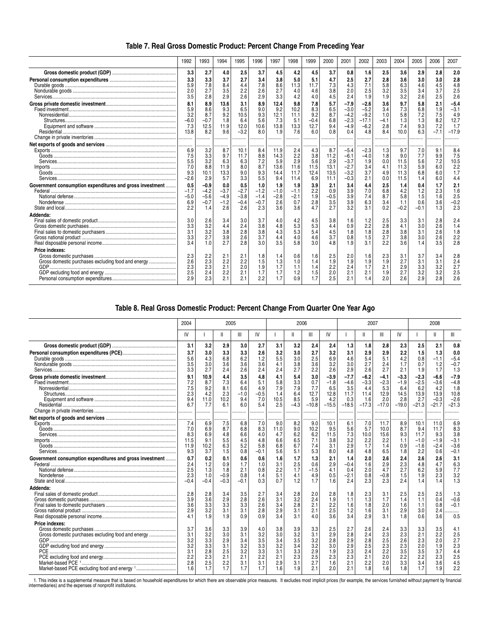| Table 7. Real Gross Domestic Product: Percent Change From Preceding Year |  |
|--------------------------------------------------------------------------|--|
|--------------------------------------------------------------------------|--|

|                                                                      | 1992                                           | 1993                                            | 1994                                          | 1995                                        | 1996                                     | 1997                                       | 1998                                      | 1999                                       | 2000                                       | 2001                                                     | 2002                                                   | 2003                                      | 2004                                       | 2005                                   | 2006                                      | 2007                                              |
|----------------------------------------------------------------------|------------------------------------------------|-------------------------------------------------|-----------------------------------------------|---------------------------------------------|------------------------------------------|--------------------------------------------|-------------------------------------------|--------------------------------------------|--------------------------------------------|----------------------------------------------------------|--------------------------------------------------------|-------------------------------------------|--------------------------------------------|----------------------------------------|-------------------------------------------|---------------------------------------------------|
|                                                                      | 3.3                                            | 2.7                                             | 4.0                                           | 2.5                                         | 3.7                                      | 4.5                                        | 4.2                                       | 4.5                                        | 3.7                                        | 0.8                                                      | 1.6                                                    | 2.5                                       | 3.6                                        | 2.9                                    | 2.8                                       | 2.0                                               |
|                                                                      | 3.3<br>5.9<br>2.0<br>3.5                       | 3.3<br>7.8<br>2.7<br>2.8                        | 3.7<br>8.4<br>3.5<br>2.9                      | 2.7<br>4.4<br>2.2<br>2.6                    | 3.4<br>7.8<br>2.6<br>2.9                 | 3.8<br>8.6<br>2.7<br>3.3                   | 5.0<br>11.3<br>4.0<br>4.2                 | 5.1<br>11.7<br>4.6<br>4.0                  | 4.7<br>7.3<br>3.8<br>4.5                   | 2.5<br>4.3<br>2.0<br>2.4                                 | 2.7<br>7.1<br>2.5<br>1.9                               | 2.8<br>5.8<br>3.2<br>1.9                  | 3.6<br>6.3<br>3.5<br>3.2                   | 3.0<br>4.6<br>3.4<br>2.6               | 3.0<br>4.5<br>3.7<br>2.5                  | 2.8<br>4.8<br>2.5<br>2.6                          |
|                                                                      | 8.1<br>5.9<br>3.2<br>$-6.0$<br>7.3<br>13.8<br> | 8.9<br>8.6<br>8.7<br>$-0.7$<br>12.5<br>8.2<br>. | 13.6<br>9.3<br>9.2<br>1.8<br>11.9<br>9.6<br>. | 3.1<br>6.5<br>10.5<br>6.4<br>12.0<br>$-3.2$ | 8.9<br>9.0<br>9.3<br>5.6<br>10.6<br>8.0  | 12.4<br>9.2<br>12.1<br>7.3<br>13.8<br>1.9  | 9.8<br>10.2<br>11.1<br>5.1<br>13.3<br>7.6 | 7.8<br>8.3<br>9.2<br>$-0.4$<br>12.7<br>6.0 | 5.7<br>6.5<br>8.7<br>6.8<br>9.4<br>0.8     | -7.9<br>$-3.0$<br>$-4.2$<br>$-2.3$<br>$-4.9$<br>0.4      | $-2.6$<br>$-5.2$<br>$-9.2$<br>$-17.1$<br>$-6.2$<br>4.8 | 3.6<br>3.4<br>1.0<br>$-4.1$<br>2.8<br>8.4 | 9.7<br>7.3<br>5.8<br>1.3<br>7.4<br>10.0    | 5.8<br>6.8<br>7.2<br>1.3<br>9.3<br>6.3 | 2.1<br>1.9<br>7.5<br>8.2<br>7.2<br>$-7.1$ | $-5.4$<br>$-3.1$<br>4.9<br>12.7<br>1.7<br>$-17.9$ |
|                                                                      | 6.9<br>7.5<br>5.5<br>7.0<br>9.3<br>$-2.6$      | 3.2<br>3.3<br>3.2<br>8.8<br>10.1<br>2.9         | .<br>8.7<br>9.7<br>6.3<br>11.9<br>13.3<br>5.7 | 10.1<br>11.7<br>6.3<br>8.0<br>9.0<br>3.3    | 8.4<br>8.8<br>7.2<br>8.7<br>9.3<br>5.5   | 11.9<br>14.3<br>5.9<br>13.6<br>14.4<br>9.4 | 2.4<br>2.2<br>2.9<br>11.6<br>11.7<br>11.4 | 4.3<br>3.8<br>5.6<br>11.5<br>12.4<br>6.9   | 8.7<br>11.2<br>2.9<br>13.1<br>13.5<br>11.1 | $-5.4$<br>$-6.1$<br>$-3.7$<br>$-2.7$<br>$-3.2$<br>$-0.3$ | $-2.3$<br>$-4.0$<br>1.9<br>3.4<br>3.7<br>2.1           | 1.3<br>1.8<br>0.0<br>4.1<br>4.9<br>0.0    | 9.7<br>9.0<br>11.5<br>11.3<br>11.3<br>11.5 | 7.0<br>7.7<br>5.6<br>5.9<br>6.8<br>1.4 | 9.1<br>9.9<br>7.2<br>6.0<br>6.0<br>6.0    | 8.4<br>7.5<br>10.5<br>2.2<br>1.7<br>4.4           |
| Government consumption expenditures and gross investment             | 0.5<br>$-1.7$<br>$-5.0$<br>6.9<br>2.2          | $-0.9$<br>$-4.2$<br>$-5.6$<br>$-0.7$<br>1.4     | 0.0<br>$-3.7$<br>$-4.9$<br>$-1.2$<br>2.6      | 0.5<br>$-2.7$<br>$-3.8$<br>$-0.4$<br>2.6    | 1.0<br>$-1.2$<br>$-1.4$<br>$-0.7$<br>2.3 | 1.9<br>$-1.0$<br>$-2.8$<br>2.6<br>3.6      | 1.9<br>$-1.1$<br>$-2.1$<br>0.7<br>3.6     | 3.9<br>2.2<br>1.9<br>2.8<br>4.7            | 2.1<br>0.9<br>$-0.5$<br>3.5<br>2.7         | 3.4<br>3.9<br>3.9<br>3.9<br>3.2                          | 4.4<br>7.0<br>7.4<br>6.3<br>3.1                        | 2.5<br>6.8<br>8.7<br>3.4<br>0.2           | 1.4<br>4.2<br>5.8<br>1.1<br>$-0.2$         | 0.4<br>1.2<br>1.5<br>0.6<br>$-0.1$     | 1.7<br>2.3<br>1.6<br>3.6<br>1.3           | 2.1<br>1.6<br>2.5<br>$-0.2$<br>2.3                |
| Addenda:                                                             | 3.0<br>3.3<br>3.1<br>3.3<br>3.4                | 2.6<br>3.2<br>3.2<br>2.7<br>1.0                 | 3.4<br>4.4<br>3.8<br>3.9<br>2.7               | 3.0<br>2.4<br>2.8<br>2.6<br>2.8             | 3.7<br>3.8<br>3.8<br>3.7<br>3.0          | 4.0<br>4.8<br>4.3<br>4.4<br>3.5            | 4.2<br>5.3<br>5.3<br>4.0<br>5.8           | 4.5<br>5.3<br>5.4<br>4.6<br>3.0            | 3.8<br>4.4<br>4.5<br>3.7<br>4.8            | 1.6<br>0.9<br>1.8<br>0.8<br>1.9                          | 1.2<br>2.2<br>1.8<br>1.5<br>3.1                        | 2.5<br>2.8<br>2.8<br>2.7<br>2.2           | 3.3<br>4.1<br>3.8<br>3.8<br>3.6            | 3.1<br>3.0<br>3.1<br>3.0<br>14         | 2.8<br>2.6<br>2.6<br>2.6<br>3.5           | 2.4<br>1.4<br>1.8<br>2.2<br>2.8                   |
| Price indexes:<br>Gross domestic purchases excluding food and energy | 2.3<br>2.6<br>2.3<br>2.5<br>2.9                | 2.2<br>2.3<br>2.3<br>2.4<br>2.3                 | 2.1<br>2.2<br>2.1<br>2.2<br>2.1               | 2.1<br>2.2<br>2.0<br>2.1<br>2.1             | 1.8<br>1.5<br>1.9<br>1.7<br>2.2          | 1.4<br>1.3<br>1.7<br>1.7<br>1.7            | 0.6<br>1.0<br>1.1<br>1.2<br>0.9           | 1.6<br>1.4<br>1.4<br>1.5<br>1.7            | 2.5<br>1.9<br>2.2<br>2.0<br>2.5            | 2.0<br>1.9<br>2.4<br>2.1<br>2.1                          | 1.6<br>1.9<br>1.7<br>2.1<br>1.4                        | 2.3<br>1.9<br>2.1<br>1.9<br>2.0           | 3.1<br>2.7<br>2.9<br>2.7<br>2.6            | 3.7<br>3.1<br>3.3<br>3.2<br>2.9        | 3.4<br>3.1<br>3.2<br>3.2<br>2.8           | 2.8<br>2.4<br>2.7<br>2.5<br>2.6                   |

## **Table 8. Real Gross Domestic Product: Percent Change From Quarter One Year Ago**

|                                                          | 2004                                                 | 2005                                                 |                                                      |                                                      |                                                      |                                                      | 2006                                                 |                                                      |                                                      |                                                      |                                                      | 2007                                                 |                                                      | 2008                                                 |                                                      |                                                      |
|----------------------------------------------------------|------------------------------------------------------|------------------------------------------------------|------------------------------------------------------|------------------------------------------------------|------------------------------------------------------|------------------------------------------------------|------------------------------------------------------|------------------------------------------------------|------------------------------------------------------|------------------------------------------------------|------------------------------------------------------|------------------------------------------------------|------------------------------------------------------|------------------------------------------------------|------------------------------------------------------|------------------------------------------------------|
|                                                          | IV                                                   |                                                      |                                                      | Ш                                                    | IV                                                   |                                                      |                                                      | Ш                                                    | IV                                                   |                                                      |                                                      | Ш                                                    | IV                                                   |                                                      | Ш                                                    | Ш                                                    |
|                                                          | 3.1                                                  | 3.2                                                  | 2.9                                                  | 3.0                                                  | 2.7                                                  | 3.1                                                  | 3.2                                                  | 2.4                                                  | 2.4                                                  | 1.3                                                  | 1.8                                                  | 2.8                                                  | 2.3                                                  | 2.5                                                  | 2.1                                                  | 0.8                                                  |
|                                                          | 3.7<br>5.6<br>3.5<br>3.3                             | 3.0<br>4.3<br>3.0<br>2.7                             | 3.3<br>6.8<br>3.6<br>2.4                             | 3.3<br>6.2<br>3.6<br>2.6                             | 2.6<br>1.2<br>3.6<br>2.4                             | 3.2<br>5.5<br>4.1<br>2.4                             | 3.0<br>3.0<br>3.8<br>2.7                             | 2.7<br>2.5<br>3.6<br>2.2                             | 3.2<br>6.9<br>3.2<br>2.6                             | 3.1<br>4.6<br>3.0<br>2.9                             | 2.9<br>5.4<br>2.7<br>2.6                             | 2.9<br>5.1<br>2.4<br>2.7                             | 2.2<br>4.2<br>1.7<br>2.1                             | 1.5<br>0.8<br>0.7<br>1.9                             | 1.3<br>$-1.1$<br>1.2<br>1.7                          | 0.0<br>$-5.4$<br>$-0.7$<br>1.3                       |
|                                                          | 9.1<br>7.2<br>7.5<br>2.3<br>9.4<br>6.7<br>.          | 10.9<br>8.7<br>9.2<br>4.2<br>11.0<br>7.7             | 4.4<br>7.3<br>8.1<br>2.3<br>10.2<br>6.1              | 3.5<br>6.4<br>6.6<br>$-1.0$<br>9.4<br>6.0            | 4.8<br>5.1<br>4.9<br>$-0.5$<br>7.0<br>5.4            | 4.1<br>5.8<br>7.9<br>1.4<br>10.5<br>2.5              | 5.4<br>3.3<br>7.9<br>6.4<br>8.5<br>$-4.3$            | 3.0<br>0.7<br>7.7<br>12.7<br>5.9<br>$-10.8$          | $-3.9$<br>$-1.8$<br>6.5<br>12.8<br>4.2<br>$-15.5$    | $-7.7$<br>$-4.6$<br>3.5<br>11.7<br>0.3<br>$-18.5$    | $-6.2$<br>$-3.3$<br>4.4<br>11.4<br>1.6<br>$-17.3$    | $-4.1$<br>$-2.3$<br>5.3<br>12.9<br>2.0<br>$-17.0$    | $-3.3$<br>$-1.9$<br>6.4<br>14.5<br>2.8<br>$-19.0$    | $-2.3$<br>$-2.5$<br>6.2<br>13.9<br>2.7<br>$-21.3$    | $-6.6$<br>$-3.6$<br>4.2<br>13.9<br>$-0.3$<br>$-21.7$ | $-7.9$<br>$-4.8$<br>1.8<br>10.8<br>$-2.6$<br>$-21.3$ |
|                                                          | 7.4<br>7.0<br>8.3<br>11.5<br>11.9<br>9.3             | 6.9<br>6.9<br>6.9<br>9.1<br>10.2<br>3.7              | 7.5<br>8.7<br>4.8<br>5.5<br>6.3<br>1.5               | 6.8<br>6.8<br>6.6<br>4.5<br>5.2<br>0.8               | 7.0<br>8.3<br>4.0<br>4.8<br>5.8<br>$-0.1$            | 9.0<br>11.0<br>4.7<br>6.6<br>6.8<br>5.6              | 8.2<br>9.0<br>6.2<br>6.5<br>6.7<br>5.1               | .<br>9.0<br>10.2<br>6.2<br>7.1<br>7.4<br>5.3         | 10.1<br>9.5<br>11.5<br>3.8<br>3.1<br>8.0             | .<br>6.1<br>5.6<br>7.3<br>3.2<br>2.9<br>4.8          | <br>7.0<br>5.7<br>10.0<br>2.2<br>1.7<br>4.8          | .<br>11.7<br>10.0<br>15.6<br>2.2<br>1.4<br>6.5       | <br>8.9<br>8.7<br>9.3<br>1.1<br>0.9<br>1.8           | 10.1<br>9.4<br>11.7<br>$-1.0$<br>$-1.6$<br>2.2       | 11.0<br>11.7<br>9.3<br>$-1.9$<br>$-2.4$<br>0.6       | 6.9<br>8.3<br>3.8<br>$-3.1$<br>$-3.6$<br>$-0.1$      |
| Government consumption expenditures and gross investment | 0.7<br>2.4<br>2.5<br>2.3<br>$-0.4$                   | 0.2<br>1.2<br>1.3<br>1.0<br>$-0.4$                   | 0.1<br>0.9<br>1.8<br>$-0.9$<br>$-0.3$                | 0.6<br>1.7<br>2.1<br>0.8<br>$-0.1$                   | 0.6<br>1.0<br>0.8<br>1.4<br>0.3                      | 1.6<br>3.1<br>2.2<br>5.1<br>0.7                      | 1.7<br>2.5<br>1.7<br>4.1<br>1.2                      | 1.3<br>0.6<br>$-1.5$<br>4.9<br>1.7                   | 2.1<br>2.9<br>4.1<br>0.5<br>1.6                      | 1.4<br>$-0.4$<br>0.4<br>$-2.1$<br>2.4                | 2.0<br>1.6<br>2.0<br>0.8<br>2.3                      | 2.6<br>2.9<br>4.7<br>$-0.8$<br>2.3                   | 2.4<br>2.3<br>2.7<br>1.5<br>2.4                      | 2.6<br>4.8<br>6.2<br>1.9<br>1.4                      | 2.6<br>4.7<br>5.9<br>2.3<br>1.4                      | 3.1<br>6.3<br>7.7<br>3.2<br>1.3                      |
| Addenda:                                                 | 2.8<br>3.9<br>3.6<br>2.9<br>4.1                      | 2.8<br>3.6<br>3.3<br>3.2<br>1.9                      | 3.4<br>2.9<br>3.3<br>3.1<br>1.9                      | 3.5<br>2.8<br>3.3<br>3.1<br>0.9                      | 2.7<br>2.6<br>2.6<br>2.8<br>0.9                      | 3.4<br>3.1<br>3.4<br>2.9<br>3.4                      | 2.8<br>$\frac{3.2}{2.8}$<br>3.1<br>3.1               | 2.0<br>2.4<br>2.1<br>2.1<br>4.0                      | 2.8<br>1.9<br>2.2<br>2.5<br>3.6                      | 1.8<br>1.1<br>1.6<br>1.2<br>3.4                      | 2.3<br>1.3<br>1.8<br>1.6<br>2.9                      | 3.1<br>1.7<br>2.0<br>3.1<br>3.1                      | 2.5<br>1.4<br>1.6<br>2.9<br>1.8                      | 2.5<br>1.1<br>1.1<br>3.0<br>0.6                      | 2.5<br>0.4<br>0.8<br>2.4<br>3.6                      | 1.3<br>$-0.6$<br>$-0.1$<br>.<br>0.5                  |
| Price indexes:<br>PCE                                    | 3.7<br>3.1<br>3.2<br>3.2<br>3.1<br>2.2<br>2.8<br>1.6 | 3.6<br>3.2<br>3.3<br>3.3<br>2.8<br>2.3<br>2.5<br>1.7 | 3.3<br>3.0<br>2.9<br>3.1<br>2.5<br>2.1<br>2.2<br>1.7 | 3.9<br>3.1<br>3.4<br>3.2<br>3.2<br>2.1<br>3.1<br>1.7 | 4.0<br>3.2<br>3.5<br>3.3<br>3.3<br>2.2<br>3.1<br>1.7 | 3.8<br>3.0<br>3.4<br>3.2<br>3.1<br>2.1<br>2.9<br>1.6 | 3.9<br>3.2<br>3.5<br>3.4<br>3.3<br>2.3<br>3.1<br>1.9 | 3.3<br>3.1<br>3.2<br>3.2<br>2.9<br>2.5<br>2.7<br>2.1 | 2.5<br>2.9<br>2.8<br>3.0<br>1.9<br>2.3<br>1.6<br>2.0 | 2.7<br>2.8<br>2.9<br>2.9<br>2.3<br>2.3<br>2.1<br>2.1 | 2.6<br>2.4<br>2.8<br>2.5<br>2.4<br>2.1<br>2.2<br>1.8 | 2.4<br>2.3<br>2.5<br>2.3<br>2.2<br>2.0<br>2.0<br>1.6 | 3.3<br>2.3<br>2.6<br>2.3<br>3.5<br>2.2<br>3.3<br>1.8 | 3.3<br>2.1<br>2.3<br>2.0<br>3.5<br>2.2<br>3.4<br>1.7 | 3.5<br>2.2<br>2.0<br>1.9<br>3.7<br>2.3<br>3.6<br>1.9 | 4.1<br>2.5<br>2.7<br>2.3<br>4.4<br>2.5<br>4.5<br>2.2 |

1. This index is a supplemental measure that is based on household expenditures for which there are observable price measures. It excludes most implicit prices (for example, the services furnished without payment by financ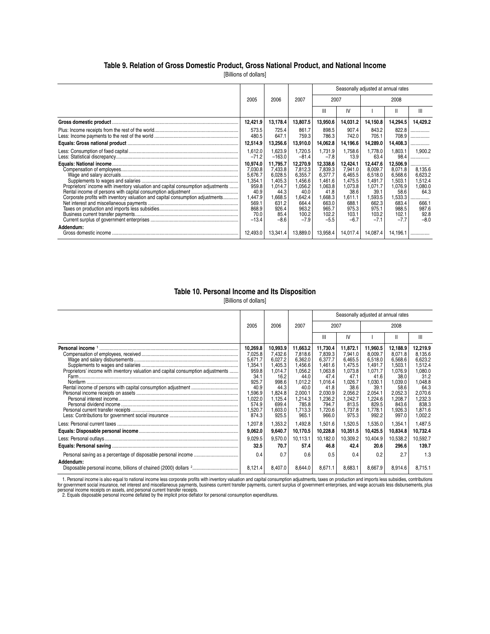### **Table 9. Relation of Gross Domestic Product, Gross National Product, and National Income**

[Billions of dollars]

|                                                                                  |                    |                     |                    | Seasonally adjusted at annual rates |                    |                    |                    |                    |  |  |  |
|----------------------------------------------------------------------------------|--------------------|---------------------|--------------------|-------------------------------------|--------------------|--------------------|--------------------|--------------------|--|--|--|
|                                                                                  | 2005               | 2006                | 2007               | 2007                                |                    |                    | 2008               |                    |  |  |  |
|                                                                                  |                    |                     |                    | Ш                                   | IV                 |                    | Ш                  | Ш                  |  |  |  |
|                                                                                  | 12,421.9           | 13,178.4            | 13,807.5           | 13,950.6                            | 14,031.2           | 14,150.8           | 14,294.5           | 14,429.2           |  |  |  |
|                                                                                  | 573.5<br>480.5     | 725.4<br>647.1      | 861.7<br>759.3     | 898.5<br>786.3                      | 907.4<br>742.0     | 843.2<br>705.1     | 822.8<br>708.9     | .<br>.             |  |  |  |
|                                                                                  | 12,514.9           | 13,256.6            | 13,910.0           | 14,062.8                            | 14,196.6           | 14,289.0           | 14,408.3           | .                  |  |  |  |
|                                                                                  | 1,612.0<br>$-71.2$ | 1,623.9<br>$-163.0$ | 1,720.5<br>$-81.4$ | 1.731.9<br>$-7.8$                   | 1,758.6<br>13.9    | 1,778.0<br>63.4    | 1,803.1<br>98.4    | 1.900.2<br>        |  |  |  |
|                                                                                  | 10,974.0           | 11,795.7            | 12,270.9           | 12,338.6                            | 12,424.1           | 12,447.6           | 12,506.9           | .                  |  |  |  |
|                                                                                  | 7,030.8            | 7,433.8             | 7,812.3            | 7,839.3                             | 7,941.0            | 8,009.7            | 8,071.8            | 8,135.6            |  |  |  |
|                                                                                  | 5,676.7<br>1,354.  | 6,028.5<br>1,405.3  | 6.355.7<br>.456.6  | 6.377.7<br>1.461.6                  | 6.465.5<br>1.475.5 | 6.518.0<br>1,491.7 | 6.568.6            | 6.623.2<br>1,512.4 |  |  |  |
| Proprietors' income with inventory valuation and capital consumption adjustments | 959.8              | 1,014.7             | 1,056.2            | 1,063.8                             | 1,073.8            | 1,071.7            | 1,503.1<br>1,076.9 | 1,080.0            |  |  |  |
|                                                                                  | 40.9               | 44.3                | 40.0               | 41.8                                | 38.6               | 39.1               | 58.6               | 64.3               |  |  |  |
| Corporate profits with inventory valuation and capital consumption adjustments   | 1,447.9            | .668.5              | 1,642.4            | .668.3                              | ,611.1             | 1,593.5            | 1,533.3            |                    |  |  |  |
|                                                                                  | 569.1              | 631.2               | 664.4              | 663.0                               | 688.1              | 662.3              | 683.4              | 666.1              |  |  |  |
|                                                                                  | 868.9              | 926.4               | 963.2              | 965.7                               | 975.3              | 975.1              | 988.5              | 987.6              |  |  |  |
|                                                                                  | 70.0               | 85.4                | 100.2              | 102.2                               | 103.1              | 103.2              | 102.1              | 92.8               |  |  |  |
|                                                                                  | $-13.4$            | $-8.6$              | $-7.9$             | $-5.5$                              | $-6.7$             | $-7.1$             | $-7.7$             | $-8.0$             |  |  |  |
| Addendum:                                                                        |                    |                     |                    |                                     |                    |                    |                    |                    |  |  |  |
|                                                                                  | 12.493.0           | 13,341.4            | 13,889.0           | 13,958.4                            | 14,017.4           | 14,087.4           | 14,196.            |                    |  |  |  |

### **Table 10. Personal Income and Its Disposition**

[Billions of dollars]

|                                                                                  |                                     |                                     |                                       | Seasonally adjusted at annual rates   |                                       |                                       |                                       |                                       |
|----------------------------------------------------------------------------------|-------------------------------------|-------------------------------------|---------------------------------------|---------------------------------------|---------------------------------------|---------------------------------------|---------------------------------------|---------------------------------------|
|                                                                                  | 2005                                | 2006                                | 2007                                  | 2007                                  |                                       |                                       | 2008                                  |                                       |
|                                                                                  |                                     |                                     |                                       | Ш                                     | IV                                    |                                       | Ш                                     | Ш                                     |
|                                                                                  | 10,269.8                            | 10,993.9                            | 11,663.2                              | 11,730.4                              | 11,872.1                              | 11,960.5<br>8.009.7                   | 12,188.9<br>8.071.8                   | 12,219.9<br>8.135.6                   |
|                                                                                  | 7,025.8<br>5,671.7                  | 7,432.6<br>6,027.2                  | 7,818.6<br>6,362.0                    | 7,839.3<br>6.377.7                    | 7,941.0<br>6,465.5                    | 6.518.0                               | 6,568.6                               | 6,623.2                               |
| Proprietors' income with inventory valuation and capital consumption adjustments | 1,354.1<br>959.8<br>34.1            | 1,405.3<br>1.014.7<br>16.2          | 1,456.6<br>1,056.2<br>44.0            | 1,461.6<br>1,063.8<br>47.4            | 1,475.5<br>1.073.8<br>47.1            | 1,491.7<br>1.071.7<br>41.6            | 1,503.1<br>1.076.9<br>38.0            | 1,512.4<br>0.080.0<br>31.2            |
|                                                                                  | 925.7<br>40.9<br>1,596.9<br>1,022.0 | 998.6<br>44.3<br>1,824.8<br>1,125.4 | 1,012.2<br>40.0<br>2,000.1<br>1,214.3 | 1,016.4<br>41.8<br>2,030.9<br>1,236.2 | 1,026.7<br>38.6<br>2,056.2<br>1,242.7 | 1.030.1<br>39.1<br>2,054.1<br>1,224.6 | 1,039.0<br>58.6<br>2,052.3<br>1,208.7 | 1,048.8<br>64.3<br>2,070.6<br>1,232.3 |
|                                                                                  | 574.9<br>1,520.7<br>874.3           | 699.4<br>,603.0<br>925.5            | 785.8<br>1,713.3<br>965.1             | 794.7<br>1,720.6<br>966.0             | 813.5<br>1,737.8<br>975.3             | 829.5<br>1,778.1<br>992.2             | 843.6<br>1,926.3<br>997.0             | 838.3<br>1,871.6<br>1,002.2           |
|                                                                                  | 1,207.8<br>9,062.0                  | 1,353.2<br>9,640.7                  | 1,492.8<br>10,170.5                   | 1,501.6<br>10,228.8                   | 1,520.5<br>10,351.5                   | 1,535.0<br>10,425.5                   | 1,354.1<br>10,834.8                   | 1,487.5<br>10,732.4                   |
|                                                                                  | 9,029.5                             | 9,570.0                             | 10,113.1                              | 10,182.0                              | 10,309.2                              | 10,404.9                              | 10,538.2                              | 10,592.7                              |
|                                                                                  | 32.5                                | 70.7                                | 57.4                                  | 46.8                                  | 42.4                                  | 20.6                                  | 296.6                                 | 139.7                                 |
| Addendum:                                                                        | 0.4                                 | 0.7                                 | 0.6                                   | 0.5                                   | 0.4                                   | 0.2                                   | 2.7                                   | 1.3                                   |
|                                                                                  | 8,121.4                             | 8,407.0                             | 8,644.0                               | 8,671.1                               | 8,683.1                               | 8,667.9                               | 8,914.6                               | 8,715.1                               |

1. Personal income is also equal to national income less corporate profits with inventory valuation and capital consumption adjustments, taxes on production and imports less subsidies, contributions<br>for government social i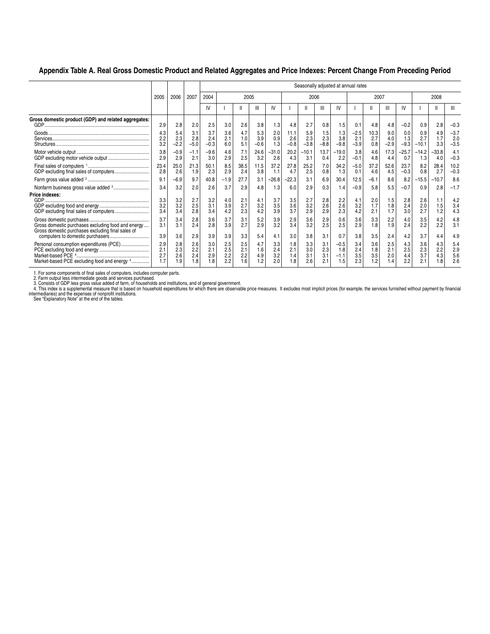### **Appendix Table A. Real Gross Domestic Product and Related Aggregates and Price Indexes: Percent Change From Preceding Period**

|                                                                                                         |                          |                          |                          | Seasonally adjusted at annual rates |                          |                          |                          |                          |                          |                          |                          |                                |                          |                          |                      |                          |                          |                         |                              |
|---------------------------------------------------------------------------------------------------------|--------------------------|--------------------------|--------------------------|-------------------------------------|--------------------------|--------------------------|--------------------------|--------------------------|--------------------------|--------------------------|--------------------------|--------------------------------|--------------------------|--------------------------|----------------------|--------------------------|--------------------------|-------------------------|------------------------------|
|                                                                                                         | 2005                     | 2006                     | 2007                     | 2004                                |                          | 2005                     |                          |                          |                          | 2006                     |                          |                                |                          | 2007                     |                      |                          |                          | 2008                    |                              |
|                                                                                                         |                          |                          |                          | IV                                  |                          |                          | Ш                        | IV                       |                          |                          | Ш                        | IV                             |                          | Ш                        | Ш                    | IV                       |                          | $\mathbf{I}$            | Ш                            |
| Gross domestic product (GDP) and related aggregates:                                                    | 2.9                      | 2.8                      | 2.0                      | 2.5                                 | 3.0                      | 2.6                      | 3.8                      | 1.3                      | 4.8                      | 2.7                      | 0.8                      | 1.5                            | 0.1                      | 4.8                      | 4.8                  | $-0.2$                   | 0.9                      | 2.8                     | $-0.3$                       |
|                                                                                                         | 4.3<br>2.2<br>3.2        | 5.4<br>2.3<br>$-2.2$     | 3.1<br>2.8<br>$-5.0$     | 3.7<br>2.4<br>$-0.3$                | 3.6<br>2.1<br>6.0        | 4.7<br>1.0<br>5.1        | 5.3<br>3.9<br>$-0.6$     | 2.0<br>0.9<br>1.3        | 11.1<br>2.6<br>$-0.8$    | 5.9<br>2.3<br>$-3.8$     | 1.5<br>2.3<br>$-8.8$     | 1.3<br>3.8<br>$-9.8$           | $-2.5$<br>2.1<br>$-3.9$  | 10.3<br>2.7<br>0.8       | 9.0<br>4.0<br>$-2.9$ | 0.0<br>1.3<br>$-9.3$     | 0.9<br>2.7<br>$-10.1$    | 4.9<br>1.7<br>3.3       | $-3.7$<br>2.0<br>$-3.5$      |
|                                                                                                         | $\frac{3.8}{2.9}$        | $-0.9$<br>2.9            | $-1.1$<br>2.1            | $-9.6$<br>3.0                       | 4.6<br>2.9               | 7.1<br>2.5               | 24.6<br>3.2              | $-31.0$<br>2.6           | 20.2<br>4.3              | $-10.1$<br>3.1           | 13.7<br>0.4              | $-19.0$<br>2.2                 | 3.8<br>$-0.1$            | 4.6<br>4.8               | 17.3<br>4.4          | $-25.7$<br>0.7           | $-14.2$<br>1.3           | $-33.8$<br>4.0          | 4.1<br>$-0.3$                |
|                                                                                                         | 23.4<br>2.8              | 25.0<br>2.6              | 21.3<br>1.9              | 50.1<br>2.3                         | 8.5<br>2.9               | 38.5<br>2.4              | 11.5<br>3.8              | 37.2<br>1.1              | 27.8<br>4.7              | 25.2<br>2.5              | 7.0<br>0.8               | 34.2<br>1.3                    | $-5.0$<br>0.1            | 37.2<br>4.6              | 52.6<br>4.5          | 23.7<br>$-0.3$           | 8.2<br>0.8               | 28.4<br>2.7             | 10.2<br>$-0.3$               |
|                                                                                                         | 9.1                      | $-6.9$                   | 9.7                      | 40.8                                | $-1.9$                   | 27.7                     | 3.1                      | $-26.8$                  | -22.3                    | 3.1                      | 6.9                      | 30.4                           | 12.5                     | $-6.1$                   | 8.6                  | 8.2                      | $-15.5$                  | $-10.7$                 | 8.6                          |
|                                                                                                         | 3.4                      | 3.2                      | 2.0                      | 2.6                                 | 3.7                      | 2.9                      | 4.8                      | 1.3                      | 6.0                      | 2.9                      | 0.3                      | 1.4                            | $-0.9$                   | 5.8                      | 5.5                  | $-0.7$                   | 0.9                      | 2.8                     | $-1.7$                       |
| Price indexes:                                                                                          | 3.3<br>3.2<br>3.4        | 3.2<br>3.2<br>3.4        | 2.7<br>2.5<br>2.8        | 3.2<br>3.1<br>3.4                   | 4.0<br>3.9<br>4.2        | 2.1<br>2.7<br>2.3        | 4.1<br>3.2<br>4.2        | 3.7<br>3.5<br>3.9        | 3.5<br>3.6<br>3.7        | 2.7<br>3.2<br>2.9        | 2.8<br>2.6<br>2.9        | 2.2<br>2.6<br>2.3              | 4.1<br>3.2<br>4.2        | 2.0<br>1.7<br>2.1        | 1.5<br>1.8<br>1.7    | 2.8<br>2.4<br>3.0        | 2.6<br>2.0<br>2.7        | 1.1<br>1.5<br>1.2       | 4.2<br>3.4<br>4.3            |
| Gross domestic purchases excluding food and energy<br>Gross domestic purchases excluding final sales of | 3.7<br>3.1<br>3.9        | 3.4<br>3.1<br>3.6        | 2.8<br>2.4<br>2.9        | 3.6<br>2.8<br>3.9                   | 3.7<br>3.9<br>3.9        | 3.1<br>2.7<br>3.3        | 5.2<br>2.9<br>5.4        | 3.9<br>3.2<br>4.1        | 2.9<br>3.4<br>3.0        | 3.6<br>3.2<br>3.8        | 2.9<br>2.5<br>3.1        | 0.6<br>2.5<br>0.7              | 3.6<br>2.9<br>3.8        | 3.3<br>1.8<br>3.5        | 2.2<br>1.9<br>2.4    | 4.0<br>2.4<br>4.2        | 3.5<br>2.2<br>3.7        | 4.2<br>2.2<br>4.4       | 4.8<br>3.1<br>4.9            |
| Personal consumption expenditures (PCE)<br>Market-based PCE excluding food and energy 4                 | 2.9<br>2.1<br>2.7<br>1.7 | 2.8<br>2.3<br>2.6<br>1.9 | 2.6<br>2.2<br>2.4<br>1.8 | 3.0<br>2.1<br>2.9<br>.8             | 2.5<br>2.5<br>2.2<br>2.2 | 2.5<br>2.1<br>2.2<br>1.6 | 4.7<br>1.6<br>4.9<br>1.2 | 3.3<br>2.4<br>3.2<br>2.0 | 1.8<br>2.1<br>1.4<br>1.8 | 3.3<br>3.0<br>3.1<br>2.6 | 3.1<br>2.3<br>3.1<br>2.1 | $-0.5$<br>1.8<br>$-1.1$<br>1.5 | 3.4<br>2.4<br>3.5<br>2.3 | 3.6<br>1.8<br>3.5<br>1.2 | 2.5<br>2.1<br>2.0    | 4.3<br>2.5<br>4.4<br>2.2 | 3.6<br>2.3<br>3.7<br>2.1 | 4.3<br>2.2<br>4.3<br>.8 | 5.4<br>$2.9$<br>$5.6$<br>2.6 |

1. For some components of final sales of computers, includes computer parts.<br>2. Farm output less intermediate goods and services purchased.<br>3. Consists of GDP less gross value added of farm, of households and institutions,